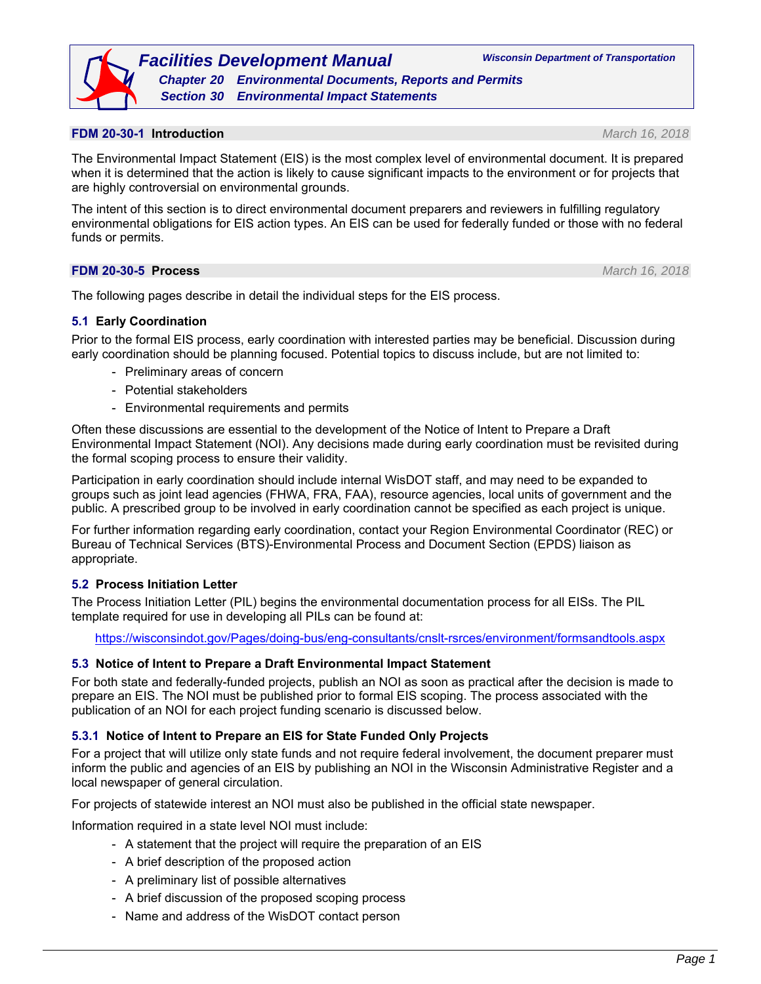### **FDM 20-30-1 Introduction** *March 16, 2018*

The Environmental Impact Statement (EIS) is the most complex level of environmental document. It is prepared when it is determined that the action is likely to cause significant impacts to the environment or for projects that are highly controversial on environmental grounds.

The intent of this section is to direct environmental document preparers and reviewers in fulfilling regulatory environmental obligations for EIS action types. An EIS can be used for federally funded or those with no federal funds or permits.

### **FDM 20-30-5 Process** *March 16, 2018*

The following pages describe in detail the individual steps for the EIS process.

## **5.1 Early Coordination**

Prior to the formal EIS process, early coordination with interested parties may be beneficial. Discussion during early coordination should be planning focused. Potential topics to discuss include, but are not limited to:

- Preliminary areas of concern
- Potential stakeholders
- Environmental requirements and permits

Often these discussions are essential to the development of the Notice of Intent to Prepare a Draft Environmental Impact Statement (NOI). Any decisions made during early coordination must be revisited during the formal scoping process to ensure their validity.

Participation in early coordination should include internal WisDOT staff, and may need to be expanded to groups such as joint lead agencies (FHWA, FRA, FAA), resource agencies, local units of government and the public. A prescribed group to be involved in early coordination cannot be specified as each project is unique.

For further information regarding early coordination, contact your Region Environmental Coordinator (REC) or Bureau of Technical Services (BTS)-Environmental Process and Document Section (EPDS) liaison as appropriate.

## **5.2 Process Initiation Letter**

The Process Initiation Letter (PIL) begins the environmental documentation process for all EISs. The PIL template required for use in developing all PILs can be found at:

https://wisconsindot.gov/Pages/doing-bus/eng-consultants/cnslt-rsrces/environment/formsandtools.aspx

#### **5.3 Notice of Intent to Prepare a Draft Environmental Impact Statement**

For both state and federally-funded projects, publish an NOI as soon as practical after the decision is made to prepare an EIS. The NOI must be published prior to formal EIS scoping. The process associated with the publication of an NOI for each project funding scenario is discussed below.

#### **5.3.1 Notice of Intent to Prepare an EIS for State Funded Only Projects**

For a project that will utilize only state funds and not require federal involvement, the document preparer must inform the public and agencies of an EIS by publishing an NOI in the Wisconsin Administrative Register and a local newspaper of general circulation.

For projects of statewide interest an NOI must also be published in the official state newspaper.

Information required in a state level NOI must include:

- A statement that the project will require the preparation of an EIS
- A brief description of the proposed action
- A preliminary list of possible alternatives
- A brief discussion of the proposed scoping process
- Name and address of the WisDOT contact person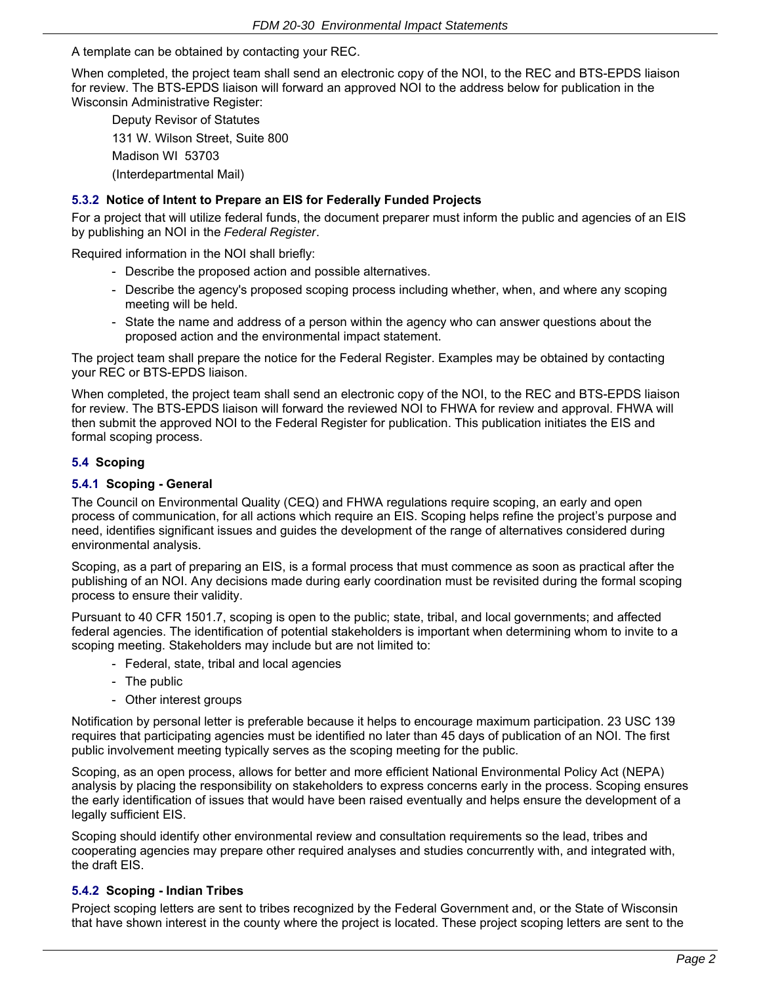A template can be obtained by contacting your REC.

When completed, the project team shall send an electronic copy of the NOI, to the REC and BTS-EPDS liaison for review. The BTS-EPDS liaison will forward an approved NOI to the address below for publication in the Wisconsin Administrative Register:

Deputy Revisor of Statutes 131 W. Wilson Street, Suite 800 Madison WI 53703 (Interdepartmental Mail)

## **5.3.2 Notice of Intent to Prepare an EIS for Federally Funded Projects**

For a project that will utilize federal funds, the document preparer must inform the public and agencies of an EIS by publishing an NOI in the *Federal Register*.

Required information in the NOI shall briefly:

- Describe the proposed action and possible alternatives.
- Describe the agency's proposed scoping process including whether, when, and where any scoping meeting will be held.
- State the name and address of a person within the agency who can answer questions about the proposed action and the environmental impact statement.

The project team shall prepare the notice for the Federal Register. Examples may be obtained by contacting your REC or BTS-EPDS liaison.

When completed, the project team shall send an electronic copy of the NOI, to the REC and BTS-EPDS liaison for review. The BTS-EPDS liaison will forward the reviewed NOI to FHWA for review and approval. FHWA will then submit the approved NOI to the Federal Register for publication. This publication initiates the EIS and formal scoping process.

## **5.4 Scoping**

### **5.4.1 Scoping - General**

The Council on Environmental Quality (CEQ) and FHWA regulations require scoping, an early and open process of communication, for all actions which require an EIS. Scoping helps refine the project's purpose and need, identifies significant issues and guides the development of the range of alternatives considered during environmental analysis.

Scoping, as a part of preparing an EIS, is a formal process that must commence as soon as practical after the publishing of an NOI. Any decisions made during early coordination must be revisited during the formal scoping process to ensure their validity.

Pursuant to 40 CFR 1501.7, scoping is open to the public; state, tribal, and local governments; and affected federal agencies. The identification of potential stakeholders is important when determining whom to invite to a scoping meeting. Stakeholders may include but are not limited to:

- Federal, state, tribal and local agencies
- The public
- Other interest groups

Notification by personal letter is preferable because it helps to encourage maximum participation. 23 USC 139 requires that participating agencies must be identified no later than 45 days of publication of an NOI. The first public involvement meeting typically serves as the scoping meeting for the public.

Scoping, as an open process, allows for better and more efficient National Environmental Policy Act (NEPA) analysis by placing the responsibility on stakeholders to express concerns early in the process. Scoping ensures the early identification of issues that would have been raised eventually and helps ensure the development of a legally sufficient EIS.

Scoping should identify other environmental review and consultation requirements so the lead, tribes and cooperating agencies may prepare other required analyses and studies concurrently with, and integrated with, the draft EIS.

## **5.4.2 Scoping - Indian Tribes**

Project scoping letters are sent to tribes recognized by the Federal Government and, or the State of Wisconsin that have shown interest in the county where the project is located. These project scoping letters are sent to the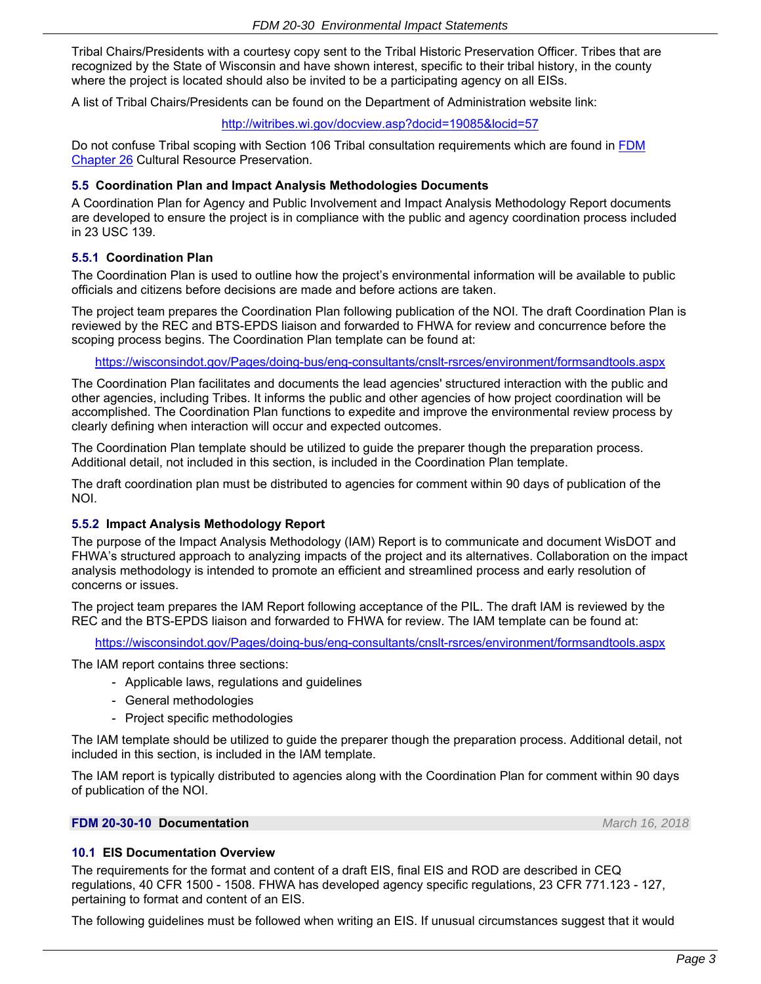Tribal Chairs/Presidents with a courtesy copy sent to the Tribal Historic Preservation Officer. Tribes that are recognized by the State of Wisconsin and have shown interest, specific to their tribal history, in the county where the project is located should also be invited to be a participating agency on all EISs.

A list of Tribal Chairs/Presidents can be found on the Department of Administration website link:

#### http://witribes.wi.gov/docview.asp?docid=19085&locid=57

Do not confuse Tribal scoping with Section 106 Tribal consultation requirements which are found in [FDM](https://wisconsindot.gov/rdwy/fdm/fd-26-00toc.pdf#fd26)  [Chapter 26](https://wisconsindot.gov/rdwy/fdm/fd-26-00toc.pdf#fd26) Cultural Resource Preservation.

#### **5.5 Coordination Plan and Impact Analysis Methodologies Documents**

A Coordination Plan for Agency and Public Involvement and Impact Analysis Methodology Report documents are developed to ensure the project is in compliance with the public and agency coordination process included in 23 USC 139.

### **5.5.1 Coordination Plan**

The Coordination Plan is used to outline how the project's environmental information will be available to public officials and citizens before decisions are made and before actions are taken.

The project team prepares the Coordination Plan following publication of the NOI. The draft Coordination Plan is reviewed by the REC and BTS-EPDS liaison and forwarded to FHWA for review and concurrence before the scoping process begins. The Coordination Plan template can be found at:

https://wisconsindot.gov/Pages/doing-bus/eng-consultants/cnslt-rsrces/environment/formsandtools.aspx

The Coordination Plan facilitates and documents the lead agencies' structured interaction with the public and other agencies, including Tribes. It informs the public and other agencies of how project coordination will be accomplished. The Coordination Plan functions to expedite and improve the environmental review process by clearly defining when interaction will occur and expected outcomes.

The Coordination Plan template should be utilized to guide the preparer though the preparation process. Additional detail, not included in this section, is included in the Coordination Plan template.

The draft coordination plan must be distributed to agencies for comment within 90 days of publication of the NOI.

#### **5.5.2 Impact Analysis Methodology Report**

The purpose of the Impact Analysis Methodology (IAM) Report is to communicate and document WisDOT and FHWA's structured approach to analyzing impacts of the project and its alternatives. Collaboration on the impact analysis methodology is intended to promote an efficient and streamlined process and early resolution of concerns or issues.

The project team prepares the IAM Report following acceptance of the PIL. The draft IAM is reviewed by the REC and the BTS-EPDS liaison and forwarded to FHWA for review. The IAM template can be found at:

https://wisconsindot.gov/Pages/doing-bus/eng-consultants/cnslt-rsrces/environment/formsandtools.aspx

The IAM report contains three sections:

- Applicable laws, regulations and guidelines
- General methodologies
- Project specific methodologies

The IAM template should be utilized to guide the preparer though the preparation process. Additional detail, not included in this section, is included in the IAM template.

The IAM report is typically distributed to agencies along with the Coordination Plan for comment within 90 days of publication of the NOI.

### **FDM 20-30-10 Documentation** *March 16, 2018*

#### **10.1 EIS Documentation Overview**

The requirements for the format and content of a draft EIS, final EIS and ROD are described in CEQ regulations, 40 CFR 1500 - 1508. FHWA has developed agency specific regulations, 23 CFR 771.123 - 127, pertaining to format and content of an EIS.

The following guidelines must be followed when writing an EIS. If unusual circumstances suggest that it would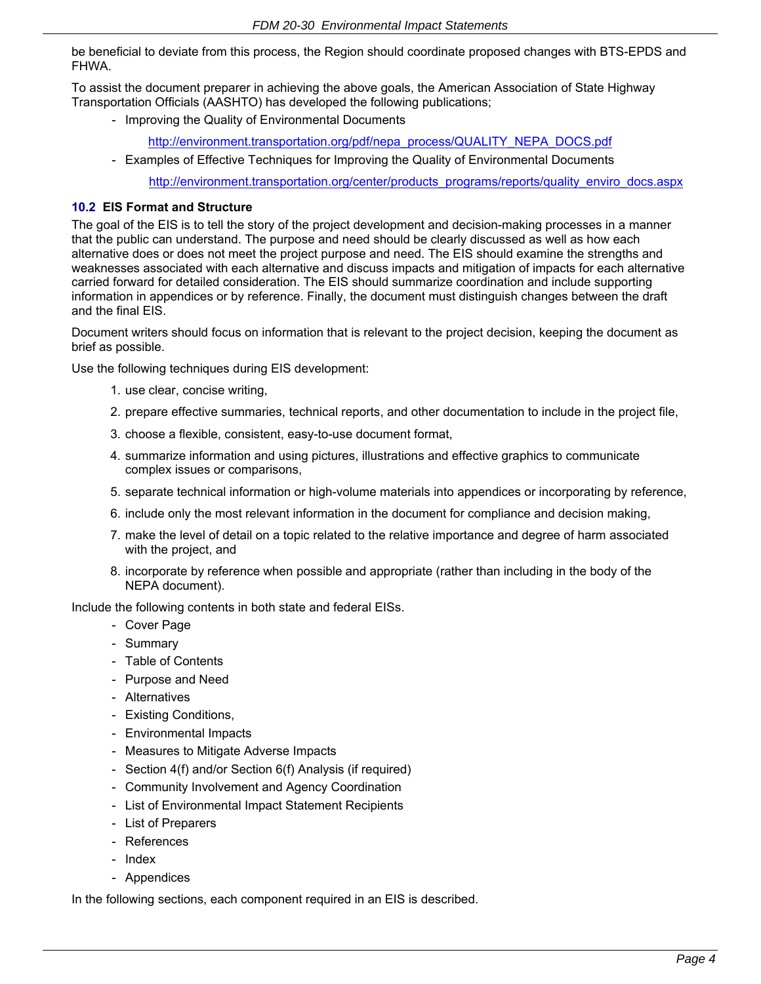be beneficial to deviate from this process, the Region should coordinate proposed changes with BTS-EPDS and FHWA.

To assist the document preparer in achieving the above goals, the American Association of State Highway Transportation Officials (AASHTO) has developed the following publications;

- Improving the Quality of Environmental Documents
	- http://environment.transportation.org/pdf/nepa\_process/QUALITY\_NEPA\_DOCS.pdf
- Examples of Effective Techniques for Improving the Quality of Environmental Documents

http://environment.transportation.org/center/products\_programs/reports/quality\_enviro\_docs.aspx

#### **10.2 EIS Format and Structure**

The goal of the EIS is to tell the story of the project development and decision-making processes in a manner that the public can understand. The purpose and need should be clearly discussed as well as how each alternative does or does not meet the project purpose and need. The EIS should examine the strengths and weaknesses associated with each alternative and discuss impacts and mitigation of impacts for each alternative carried forward for detailed consideration. The EIS should summarize coordination and include supporting information in appendices or by reference. Finally, the document must distinguish changes between the draft and the final EIS.

Document writers should focus on information that is relevant to the project decision, keeping the document as brief as possible.

Use the following techniques during EIS development:

- 1. use clear, concise writing,
- 2. prepare effective summaries, technical reports, and other documentation to include in the project file,
- 3. choose a flexible, consistent, easy-to-use document format,
- 4. summarize information and using pictures, illustrations and effective graphics to communicate complex issues or comparisons,
- 5. separate technical information or high-volume materials into appendices or incorporating by reference,
- 6. include only the most relevant information in the document for compliance and decision making,
- 7. make the level of detail on a topic related to the relative importance and degree of harm associated with the project, and
- 8. incorporate by reference when possible and appropriate (rather than including in the body of the NEPA document).

Include the following contents in both state and federal EISs.

- Cover Page
- Summary
- Table of Contents
- Purpose and Need
- Alternatives
- Existing Conditions,
- Environmental Impacts
- Measures to Mitigate Adverse Impacts
- Section 4(f) and/or Section 6(f) Analysis (if required)
- Community Involvement and Agency Coordination
- List of Environmental Impact Statement Recipients
- List of Preparers
- References
- Index
- Appendices

In the following sections, each component required in an EIS is described.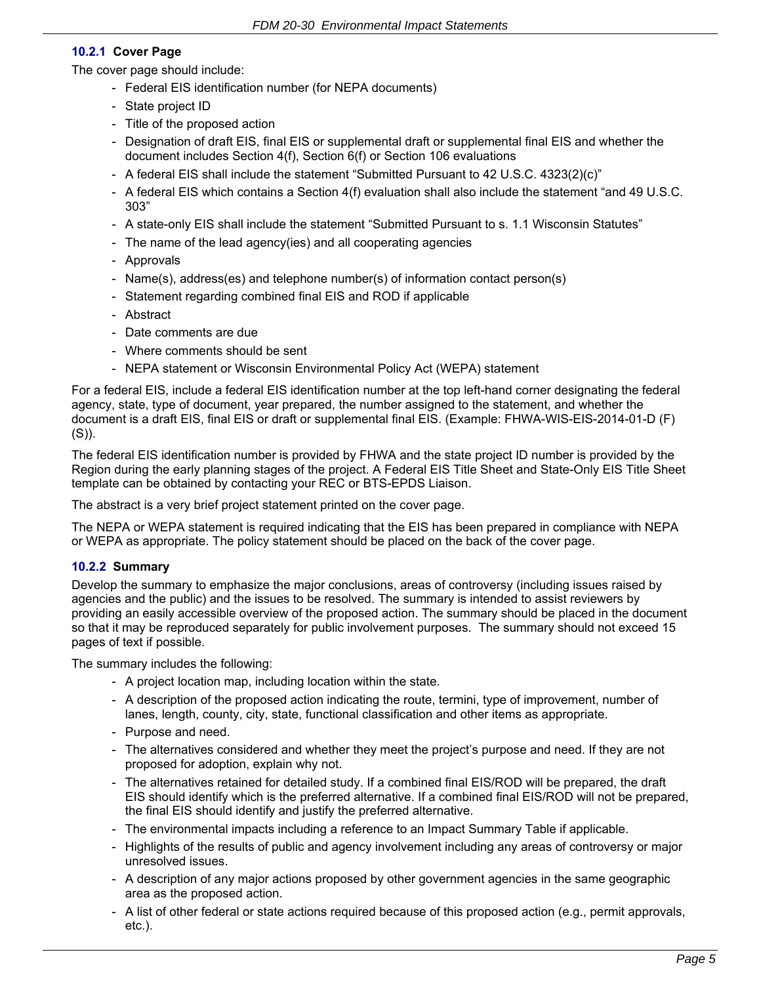## **10.2.1 Cover Page**

The cover page should include:

- Federal EIS identification number (for NEPA documents)
- State project ID
- Title of the proposed action
- Designation of draft EIS, final EIS or supplemental draft or supplemental final EIS and whether the document includes Section 4(f), Section 6(f) or Section 106 evaluations
- A federal EIS shall include the statement "Submitted Pursuant to 42 U.S.C. 4323(2)(c)"
- A federal EIS which contains a Section 4(f) evaluation shall also include the statement "and 49 U.S.C. 303"
- A state-only EIS shall include the statement "Submitted Pursuant to s. 1.1 Wisconsin Statutes"
- The name of the lead agency(ies) and all cooperating agencies
- Approvals
- Name(s), address(es) and telephone number(s) of information contact person(s)
- Statement regarding combined final EIS and ROD if applicable
- Abstract
- Date comments are due
- Where comments should be sent
- NEPA statement or Wisconsin Environmental Policy Act (WEPA) statement

For a federal EIS, include a federal EIS identification number at the top left-hand corner designating the federal agency, state, type of document, year prepared, the number assigned to the statement, and whether the document is a draft EIS, final EIS or draft or supplemental final EIS. (Example: FHWA-WIS-EIS-2014-01-D (F) (S)).

The federal EIS identification number is provided by FHWA and the state project ID number is provided by the Region during the early planning stages of the project. A Federal EIS Title Sheet and State-Only EIS Title Sheet template can be obtained by contacting your REC or BTS-EPDS Liaison.

The abstract is a very brief project statement printed on the cover page.

The NEPA or WEPA statement is required indicating that the EIS has been prepared in compliance with NEPA or WEPA as appropriate. The policy statement should be placed on the back of the cover page.

## **10.2.2 Summary**

Develop the summary to emphasize the major conclusions, areas of controversy (including issues raised by agencies and the public) and the issues to be resolved. The summary is intended to assist reviewers by providing an easily accessible overview of the proposed action. The summary should be placed in the document so that it may be reproduced separately for public involvement purposes. The summary should not exceed 15 pages of text if possible.

The summary includes the following:

- A project location map, including location within the state.
- A description of the proposed action indicating the route, termini, type of improvement, number of lanes, length, county, city, state, functional classification and other items as appropriate.
- Purpose and need.
- The alternatives considered and whether they meet the project's purpose and need. If they are not proposed for adoption, explain why not.
- The alternatives retained for detailed study. If a combined final EIS/ROD will be prepared, the draft EIS should identify which is the preferred alternative. If a combined final EIS/ROD will not be prepared, the final EIS should identify and justify the preferred alternative.
- The environmental impacts including a reference to an Impact Summary Table if applicable.
- Highlights of the results of public and agency involvement including any areas of controversy or major unresolved issues.
- A description of any major actions proposed by other government agencies in the same geographic area as the proposed action.
- A list of other federal or state actions required because of this proposed action (e.g., permit approvals, etc.).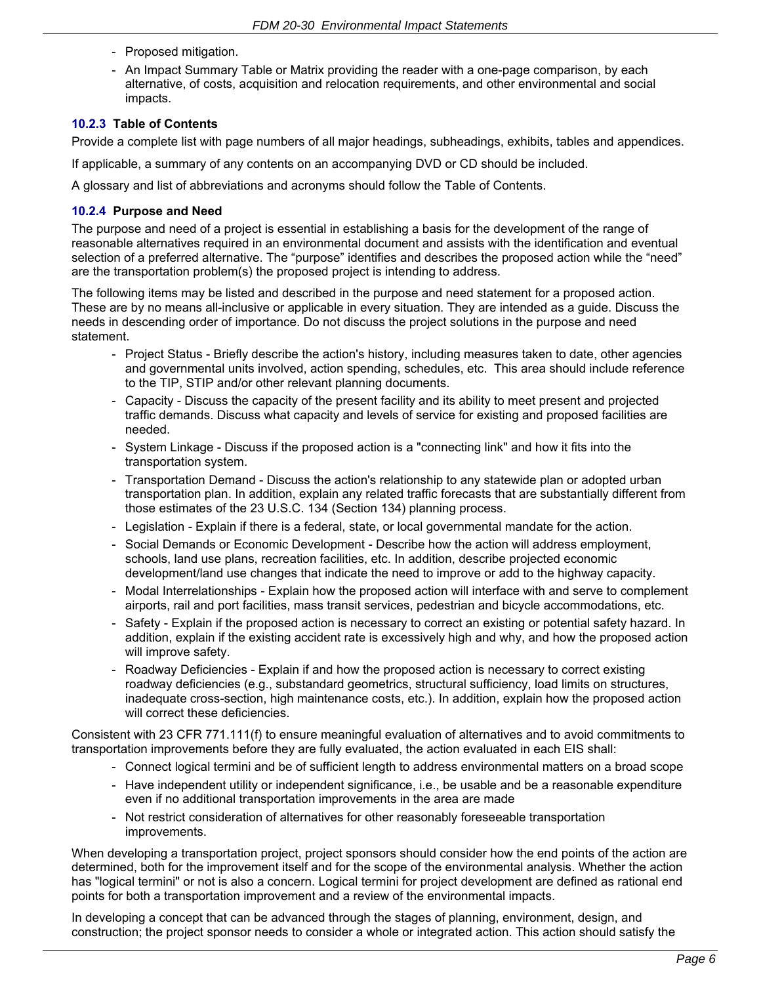- Proposed mitigation.
- An Impact Summary Table or Matrix providing the reader with a one-page comparison, by each alternative, of costs, acquisition and relocation requirements, and other environmental and social impacts.

### **10.2.3 Table of Contents**

Provide a complete list with page numbers of all major headings, subheadings, exhibits, tables and appendices.

If applicable, a summary of any contents on an accompanying DVD or CD should be included.

A glossary and list of abbreviations and acronyms should follow the Table of Contents.

### **10.2.4 Purpose and Need**

The purpose and need of a project is essential in establishing a basis for the development of the range of reasonable alternatives required in an environmental document and assists with the identification and eventual selection of a preferred alternative. The "purpose" identifies and describes the proposed action while the "need" are the transportation problem(s) the proposed project is intending to address.

The following items may be listed and described in the purpose and need statement for a proposed action. These are by no means all-inclusive or applicable in every situation. They are intended as a guide. Discuss the needs in descending order of importance. Do not discuss the project solutions in the purpose and need statement.

- Project Status Briefly describe the action's history, including measures taken to date, other agencies and governmental units involved, action spending, schedules, etc. This area should include reference to the TIP, STIP and/or other relevant planning documents.
- Capacity Discuss the capacity of the present facility and its ability to meet present and projected traffic demands. Discuss what capacity and levels of service for existing and proposed facilities are needed.
- System Linkage Discuss if the proposed action is a "connecting link" and how it fits into the transportation system.
- Transportation Demand Discuss the action's relationship to any statewide plan or adopted urban transportation plan. In addition, explain any related traffic forecasts that are substantially different from those estimates of the 23 U.S.C. 134 (Section 134) planning process.
- Legislation Explain if there is a federal, state, or local governmental mandate for the action.
- Social Demands or Economic Development Describe how the action will address employment, schools, land use plans, recreation facilities, etc. In addition, describe projected economic development/land use changes that indicate the need to improve or add to the highway capacity.
- Modal Interrelationships Explain how the proposed action will interface with and serve to complement airports, rail and port facilities, mass transit services, pedestrian and bicycle accommodations, etc.
- Safety Explain if the proposed action is necessary to correct an existing or potential safety hazard. In addition, explain if the existing accident rate is excessively high and why, and how the proposed action will improve safety.
- Roadway Deficiencies Explain if and how the proposed action is necessary to correct existing roadway deficiencies (e.g., substandard geometrics, structural sufficiency, load limits on structures, inadequate cross-section, high maintenance costs, etc.). In addition, explain how the proposed action will correct these deficiencies.

Consistent with 23 CFR 771.111(f) to ensure meaningful evaluation of alternatives and to avoid commitments to transportation improvements before they are fully evaluated, the action evaluated in each EIS shall:

- Connect logical termini and be of sufficient length to address environmental matters on a broad scope
- Have independent utility or independent significance, i.e., be usable and be a reasonable expenditure even if no additional transportation improvements in the area are made
- Not restrict consideration of alternatives for other reasonably foreseeable transportation improvements.

When developing a transportation project, project sponsors should consider how the end points of the action are determined, both for the improvement itself and for the scope of the environmental analysis. Whether the action has "logical termini" or not is also a concern. Logical termini for project development are defined as rational end points for both a transportation improvement and a review of the environmental impacts.

In developing a concept that can be advanced through the stages of planning, environment, design, and construction; the project sponsor needs to consider a whole or integrated action. This action should satisfy the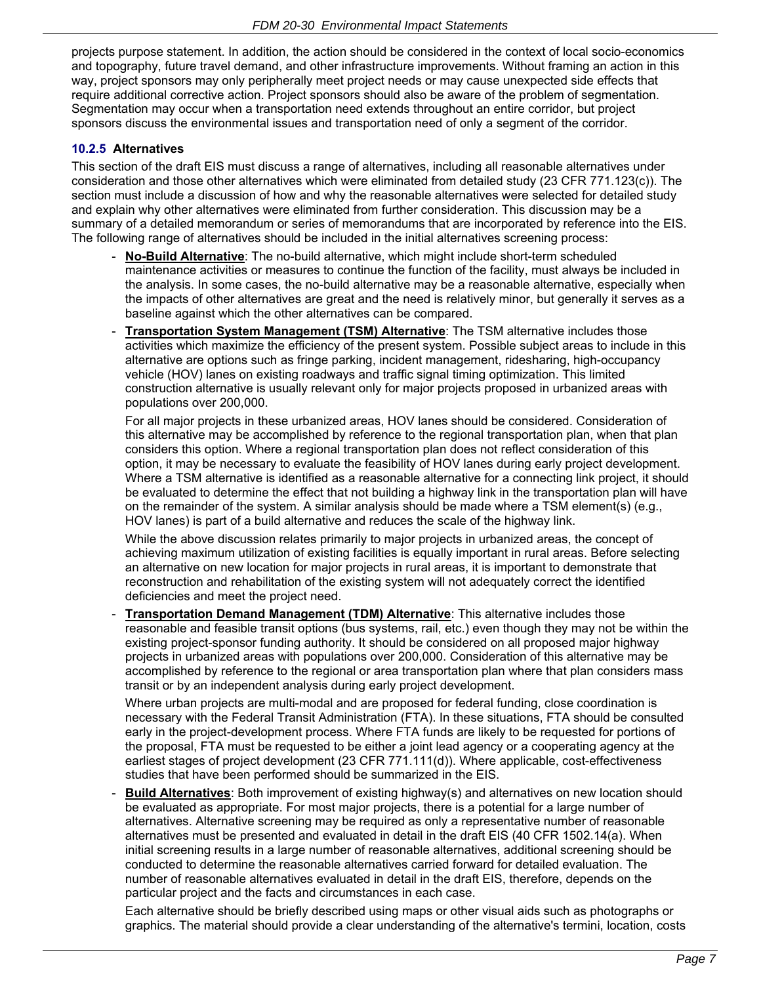projects purpose statement. In addition, the action should be considered in the context of local socio-economics and topography, future travel demand, and other infrastructure improvements. Without framing an action in this way, project sponsors may only peripherally meet project needs or may cause unexpected side effects that require additional corrective action. Project sponsors should also be aware of the problem of segmentation. Segmentation may occur when a transportation need extends throughout an entire corridor, but project sponsors discuss the environmental issues and transportation need of only a segment of the corridor.

### **10.2.5 Alternatives**

This section of the draft EIS must discuss a range of alternatives, including all reasonable alternatives under consideration and those other alternatives which were eliminated from detailed study (23 CFR 771.123(c)). The section must include a discussion of how and why the reasonable alternatives were selected for detailed study and explain why other alternatives were eliminated from further consideration. This discussion may be a summary of a detailed memorandum or series of memorandums that are incorporated by reference into the EIS. The following range of alternatives should be included in the initial alternatives screening process:

- **No-Build Alternative**: The no-build alternative, which might include short-term scheduled maintenance activities or measures to continue the function of the facility, must always be included in the analysis. In some cases, the no-build alternative may be a reasonable alternative, especially when the impacts of other alternatives are great and the need is relatively minor, but generally it serves as a baseline against which the other alternatives can be compared.
- **Transportation System Management (TSM) Alternative**: The TSM alternative includes those activities which maximize the efficiency of the present system. Possible subject areas to include in this alternative are options such as fringe parking, incident management, ridesharing, high-occupancy vehicle (HOV) lanes on existing roadways and traffic signal timing optimization. This limited construction alternative is usually relevant only for major projects proposed in urbanized areas with populations over 200,000.

 For all major projects in these urbanized areas, HOV lanes should be considered. Consideration of this alternative may be accomplished by reference to the regional transportation plan, when that plan considers this option. Where a regional transportation plan does not reflect consideration of this option, it may be necessary to evaluate the feasibility of HOV lanes during early project development. Where a TSM alternative is identified as a reasonable alternative for a connecting link project, it should be evaluated to determine the effect that not building a highway link in the transportation plan will have on the remainder of the system. A similar analysis should be made where a TSM element(s) (e.g., HOV lanes) is part of a build alternative and reduces the scale of the highway link.

 While the above discussion relates primarily to major projects in urbanized areas, the concept of achieving maximum utilization of existing facilities is equally important in rural areas. Before selecting an alternative on new location for major projects in rural areas, it is important to demonstrate that reconstruction and rehabilitation of the existing system will not adequately correct the identified deficiencies and meet the project need.

**Transportation Demand Management (TDM) Alternative**: This alternative includes those reasonable and feasible transit options (bus systems, rail, etc.) even though they may not be within the existing project-sponsor funding authority. It should be considered on all proposed major highway projects in urbanized areas with populations over 200,000. Consideration of this alternative may be accomplished by reference to the regional or area transportation plan where that plan considers mass transit or by an independent analysis during early project development.

 Where urban projects are multi-modal and are proposed for federal funding, close coordination is necessary with the Federal Transit Administration (FTA). In these situations, FTA should be consulted early in the project-development process. Where FTA funds are likely to be requested for portions of the proposal, FTA must be requested to be either a joint lead agency or a cooperating agency at the earliest stages of project development (23 CFR 771.111(d)). Where applicable, cost-effectiveness studies that have been performed should be summarized in the EIS.

- **Build Alternatives**: Both improvement of existing highway(s) and alternatives on new location should be evaluated as appropriate. For most major projects, there is a potential for a large number of alternatives. Alternative screening may be required as only a representative number of reasonable alternatives must be presented and evaluated in detail in the draft EIS (40 CFR 1502.14(a). When initial screening results in a large number of reasonable alternatives, additional screening should be conducted to determine the reasonable alternatives carried forward for detailed evaluation. The number of reasonable alternatives evaluated in detail in the draft EIS, therefore, depends on the particular project and the facts and circumstances in each case.

 Each alternative should be briefly described using maps or other visual aids such as photographs or graphics. The material should provide a clear understanding of the alternative's termini, location, costs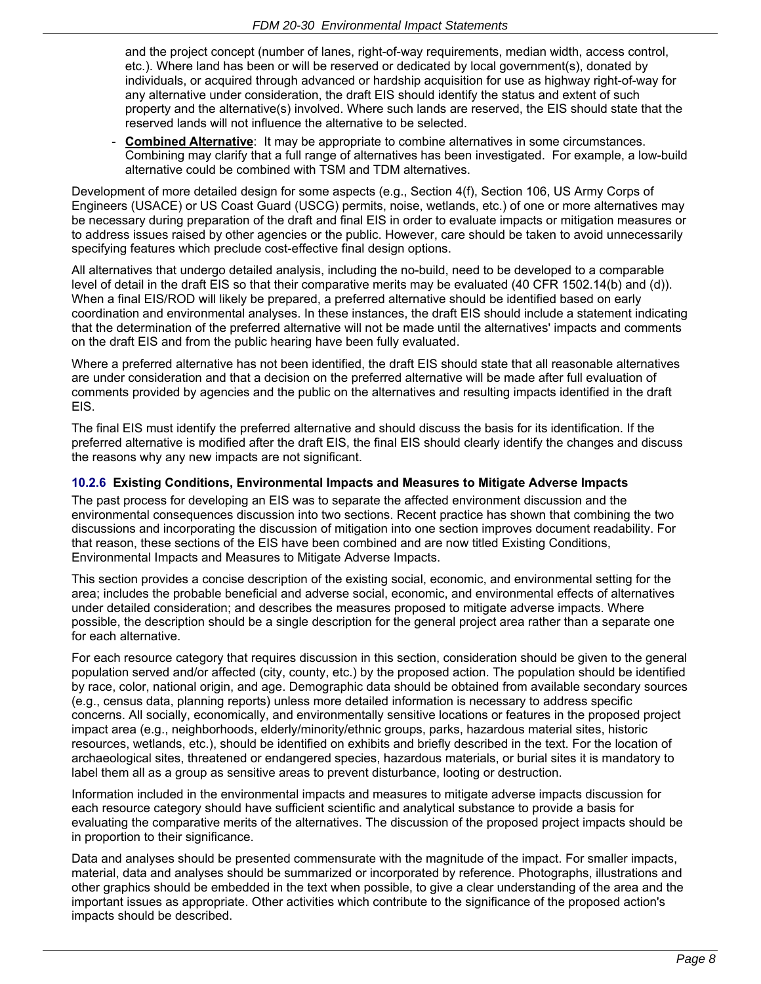and the project concept (number of lanes, right-of-way requirements, median width, access control, etc.). Where land has been or will be reserved or dedicated by local government(s), donated by individuals, or acquired through advanced or hardship acquisition for use as highway right-of-way for any alternative under consideration, the draft EIS should identify the status and extent of such property and the alternative(s) involved. Where such lands are reserved, the EIS should state that the reserved lands will not influence the alternative to be selected.

**Combined Alternative:** It may be appropriate to combine alternatives in some circumstances. Combining may clarify that a full range of alternatives has been investigated. For example, a low-build alternative could be combined with TSM and TDM alternatives.

Development of more detailed design for some aspects (e.g., Section 4(f), Section 106, US Army Corps of Engineers (USACE) or US Coast Guard (USCG) permits, noise, wetlands, etc.) of one or more alternatives may be necessary during preparation of the draft and final EIS in order to evaluate impacts or mitigation measures or to address issues raised by other agencies or the public. However, care should be taken to avoid unnecessarily specifying features which preclude cost-effective final design options.

All alternatives that undergo detailed analysis, including the no-build, need to be developed to a comparable level of detail in the draft EIS so that their comparative merits may be evaluated (40 CFR 1502.14(b) and (d)). When a final EIS/ROD will likely be prepared, a preferred alternative should be identified based on early coordination and environmental analyses. In these instances, the draft EIS should include a statement indicating that the determination of the preferred alternative will not be made until the alternatives' impacts and comments on the draft EIS and from the public hearing have been fully evaluated.

Where a preferred alternative has not been identified, the draft EIS should state that all reasonable alternatives are under consideration and that a decision on the preferred alternative will be made after full evaluation of comments provided by agencies and the public on the alternatives and resulting impacts identified in the draft EIS.

The final EIS must identify the preferred alternative and should discuss the basis for its identification. If the preferred alternative is modified after the draft EIS, the final EIS should clearly identify the changes and discuss the reasons why any new impacts are not significant.

## **10.2.6 Existing Conditions, Environmental Impacts and Measures to Mitigate Adverse Impacts**

The past process for developing an EIS was to separate the affected environment discussion and the environmental consequences discussion into two sections. Recent practice has shown that combining the two discussions and incorporating the discussion of mitigation into one section improves document readability. For that reason, these sections of the EIS have been combined and are now titled Existing Conditions, Environmental Impacts and Measures to Mitigate Adverse Impacts.

This section provides a concise description of the existing social, economic, and environmental setting for the area; includes the probable beneficial and adverse social, economic, and environmental effects of alternatives under detailed consideration; and describes the measures proposed to mitigate adverse impacts. Where possible, the description should be a single description for the general project area rather than a separate one for each alternative.

For each resource category that requires discussion in this section, consideration should be given to the general population served and/or affected (city, county, etc.) by the proposed action. The population should be identified by race, color, national origin, and age. Demographic data should be obtained from available secondary sources (e.g., census data, planning reports) unless more detailed information is necessary to address specific concerns. All socially, economically, and environmentally sensitive locations or features in the proposed project impact area (e.g., neighborhoods, elderly/minority/ethnic groups, parks, hazardous material sites, historic resources, wetlands, etc.), should be identified on exhibits and briefly described in the text. For the location of archaeological sites, threatened or endangered species, hazardous materials, or burial sites it is mandatory to label them all as a group as sensitive areas to prevent disturbance, looting or destruction.

Information included in the environmental impacts and measures to mitigate adverse impacts discussion for each resource category should have sufficient scientific and analytical substance to provide a basis for evaluating the comparative merits of the alternatives. The discussion of the proposed project impacts should be in proportion to their significance.

Data and analyses should be presented commensurate with the magnitude of the impact. For smaller impacts, material, data and analyses should be summarized or incorporated by reference. Photographs, illustrations and other graphics should be embedded in the text when possible, to give a clear understanding of the area and the important issues as appropriate. Other activities which contribute to the significance of the proposed action's impacts should be described.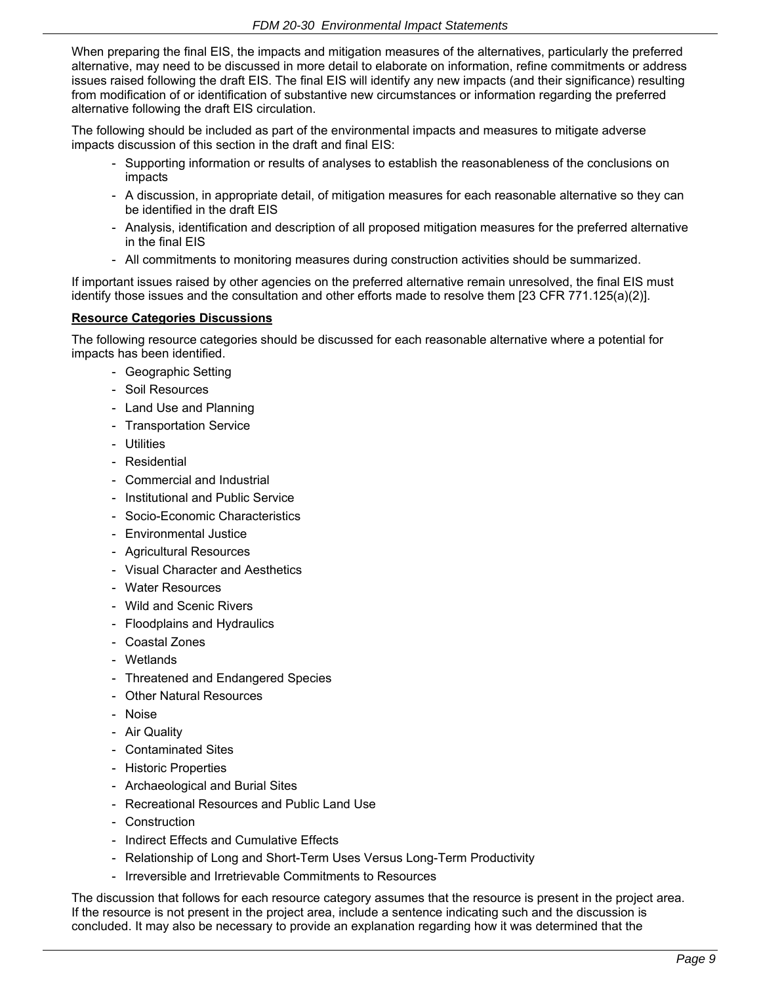When preparing the final EIS, the impacts and mitigation measures of the alternatives, particularly the preferred alternative, may need to be discussed in more detail to elaborate on information, refine commitments or address issues raised following the draft EIS. The final EIS will identify any new impacts (and their significance) resulting from modification of or identification of substantive new circumstances or information regarding the preferred alternative following the draft EIS circulation.

The following should be included as part of the environmental impacts and measures to mitigate adverse impacts discussion of this section in the draft and final EIS:

- Supporting information or results of analyses to establish the reasonableness of the conclusions on impacts
- A discussion, in appropriate detail, of mitigation measures for each reasonable alternative so they can be identified in the draft EIS
- Analysis, identification and description of all proposed mitigation measures for the preferred alternative in the final EIS
- All commitments to monitoring measures during construction activities should be summarized.

If important issues raised by other agencies on the preferred alternative remain unresolved, the final EIS must identify those issues and the consultation and other efforts made to resolve them [23 CFR 771.125(a)(2)].

## **Resource Categories Discussions**

The following resource categories should be discussed for each reasonable alternative where a potential for impacts has been identified.

- Geographic Setting
- Soil Resources
- Land Use and Planning
- Transportation Service
- Utilities
- Residential
- Commercial and Industrial
- Institutional and Public Service
- Socio-Economic Characteristics
- Environmental Justice
- Agricultural Resources
- Visual Character and Aesthetics
- Water Resources
- Wild and Scenic Rivers
- Floodplains and Hydraulics
- Coastal Zones
- Wetlands
- Threatened and Endangered Species
- Other Natural Resources
- Noise
- Air Quality
- Contaminated Sites
- Historic Properties
- Archaeological and Burial Sites
- Recreational Resources and Public Land Use
- Construction
- Indirect Effects and Cumulative Effects
- Relationship of Long and Short-Term Uses Versus Long-Term Productivity
- Irreversible and Irretrievable Commitments to Resources

The discussion that follows for each resource category assumes that the resource is present in the project area. If the resource is not present in the project area, include a sentence indicating such and the discussion is concluded. It may also be necessary to provide an explanation regarding how it was determined that the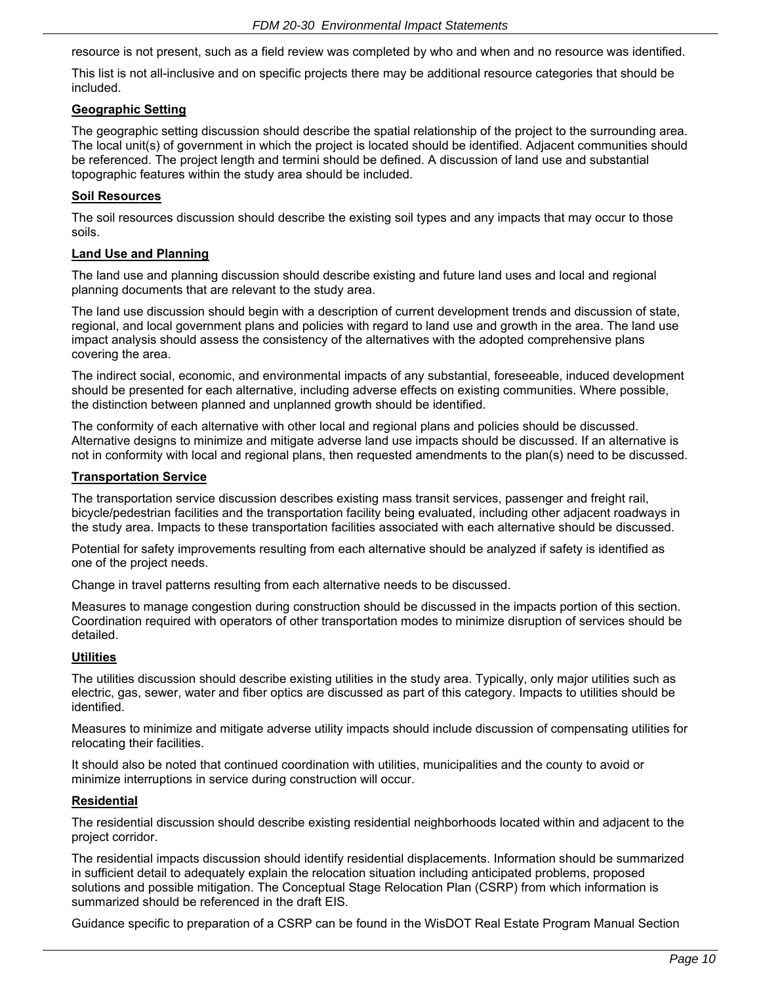resource is not present, such as a field review was completed by who and when and no resource was identified.

This list is not all-inclusive and on specific projects there may be additional resource categories that should be included.

### **Geographic Setting**

The geographic setting discussion should describe the spatial relationship of the project to the surrounding area. The local unit(s) of government in which the project is located should be identified. Adjacent communities should be referenced. The project length and termini should be defined. A discussion of land use and substantial topographic features within the study area should be included.

### **Soil Resources**

The soil resources discussion should describe the existing soil types and any impacts that may occur to those soils.

### **Land Use and Planning**

The land use and planning discussion should describe existing and future land uses and local and regional planning documents that are relevant to the study area.

The land use discussion should begin with a description of current development trends and discussion of state, regional, and local government plans and policies with regard to land use and growth in the area. The land use impact analysis should assess the consistency of the alternatives with the adopted comprehensive plans covering the area.

The indirect social, economic, and environmental impacts of any substantial, foreseeable, induced development should be presented for each alternative, including adverse effects on existing communities. Where possible, the distinction between planned and unplanned growth should be identified.

The conformity of each alternative with other local and regional plans and policies should be discussed. Alternative designs to minimize and mitigate adverse land use impacts should be discussed. If an alternative is not in conformity with local and regional plans, then requested amendments to the plan(s) need to be discussed.

### **Transportation Service**

The transportation service discussion describes existing mass transit services, passenger and freight rail, bicycle/pedestrian facilities and the transportation facility being evaluated, including other adjacent roadways in the study area. Impacts to these transportation facilities associated with each alternative should be discussed.

Potential for safety improvements resulting from each alternative should be analyzed if safety is identified as one of the project needs.

Change in travel patterns resulting from each alternative needs to be discussed.

Measures to manage congestion during construction should be discussed in the impacts portion of this section. Coordination required with operators of other transportation modes to minimize disruption of services should be detailed.

#### **Utilities**

The utilities discussion should describe existing utilities in the study area. Typically, only major utilities such as electric, gas, sewer, water and fiber optics are discussed as part of this category. Impacts to utilities should be identified.

Measures to minimize and mitigate adverse utility impacts should include discussion of compensating utilities for relocating their facilities.

It should also be noted that continued coordination with utilities, municipalities and the county to avoid or minimize interruptions in service during construction will occur.

#### **Residential**

The residential discussion should describe existing residential neighborhoods located within and adjacent to the project corridor.

The residential impacts discussion should identify residential displacements. Information should be summarized in sufficient detail to adequately explain the relocation situation including anticipated problems, proposed solutions and possible mitigation. The Conceptual Stage Relocation Plan (CSRP) from which information is summarized should be referenced in the draft EIS.

Guidance specific to preparation of a CSRP can be found in the WisDOT Real Estate Program Manual Section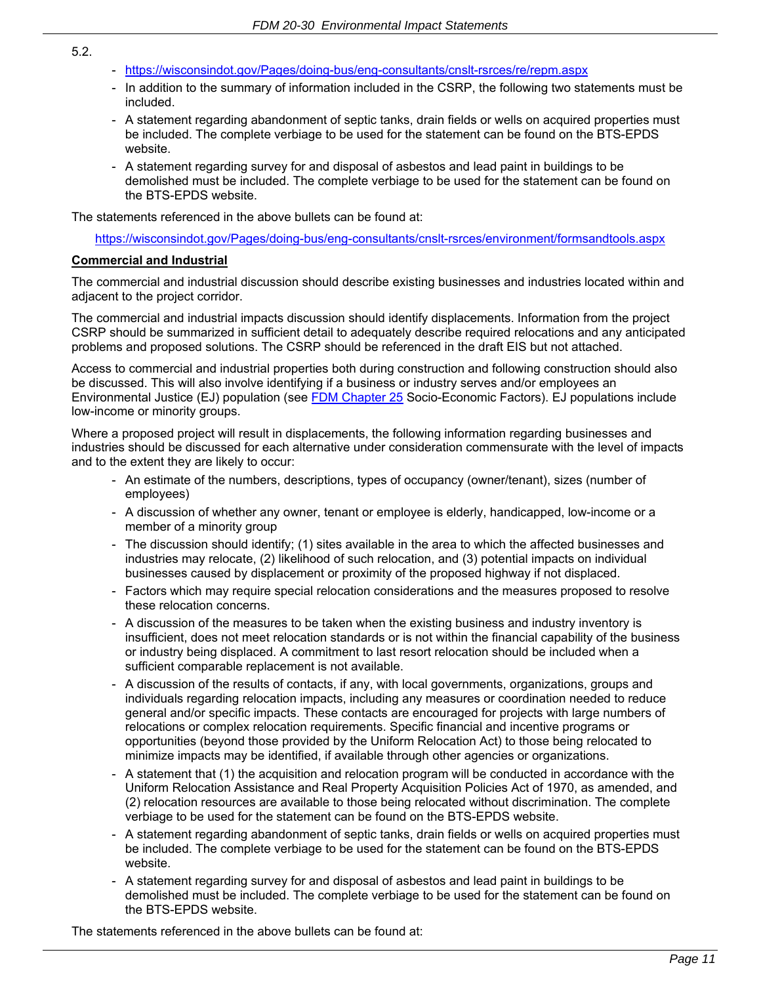- https://wisconsindot.gov/Pages/doing-bus/eng-consultants/cnslt-rsrces/re/repm.aspx
- In addition to the summary of information included in the CSRP, the following two statements must be included.
- A statement regarding abandonment of septic tanks, drain fields or wells on acquired properties must be included. The complete verbiage to be used for the statement can be found on the BTS-EPDS website.
- A statement regarding survey for and disposal of asbestos and lead paint in buildings to be demolished must be included. The complete verbiage to be used for the statement can be found on the BTS-EPDS website.

The statements referenced in the above bullets can be found at:

https://wisconsindot.gov/Pages/doing-bus/eng-consultants/cnslt-rsrces/environment/formsandtools.aspx

### **Commercial and Industrial**

The commercial and industrial discussion should describe existing businesses and industries located within and adjacent to the project corridor.

The commercial and industrial impacts discussion should identify displacements. Information from the project CSRP should be summarized in sufficient detail to adequately describe required relocations and any anticipated problems and proposed solutions. The CSRP should be referenced in the draft EIS but not attached.

Access to commercial and industrial properties both during construction and following construction should also be discussed. This will also involve identifying if a business or industry serves and/or employees an Environmental Justice (EJ) population (see [FDM Chapter 25](https://wisconsindot.gov/rdwy/fdm/fd-25-00toc.pdf#fd25) Socio-Economic Factors). EJ populations include low-income or minority groups.

Where a proposed project will result in displacements, the following information regarding businesses and industries should be discussed for each alternative under consideration commensurate with the level of impacts and to the extent they are likely to occur:

- An estimate of the numbers, descriptions, types of occupancy (owner/tenant), sizes (number of employees)
- A discussion of whether any owner, tenant or employee is elderly, handicapped, low-income or a member of a minority group
- The discussion should identify; (1) sites available in the area to which the affected businesses and industries may relocate, (2) likelihood of such relocation, and (3) potential impacts on individual businesses caused by displacement or proximity of the proposed highway if not displaced.
- Factors which may require special relocation considerations and the measures proposed to resolve these relocation concerns.
- A discussion of the measures to be taken when the existing business and industry inventory is insufficient, does not meet relocation standards or is not within the financial capability of the business or industry being displaced. A commitment to last resort relocation should be included when a sufficient comparable replacement is not available.
- A discussion of the results of contacts, if any, with local governments, organizations, groups and individuals regarding relocation impacts, including any measures or coordination needed to reduce general and/or specific impacts. These contacts are encouraged for projects with large numbers of relocations or complex relocation requirements. Specific financial and incentive programs or opportunities (beyond those provided by the Uniform Relocation Act) to those being relocated to minimize impacts may be identified, if available through other agencies or organizations.
- A statement that (1) the acquisition and relocation program will be conducted in accordance with the Uniform Relocation Assistance and Real Property Acquisition Policies Act of 1970, as amended, and (2) relocation resources are available to those being relocated without discrimination. The complete verbiage to be used for the statement can be found on the BTS-EPDS website.
- A statement regarding abandonment of septic tanks, drain fields or wells on acquired properties must be included. The complete verbiage to be used for the statement can be found on the BTS-EPDS website.
- A statement regarding survey for and disposal of asbestos and lead paint in buildings to be demolished must be included. The complete verbiage to be used for the statement can be found on the BTS-EPDS website.

The statements referenced in the above bullets can be found at:

#### *Page 11*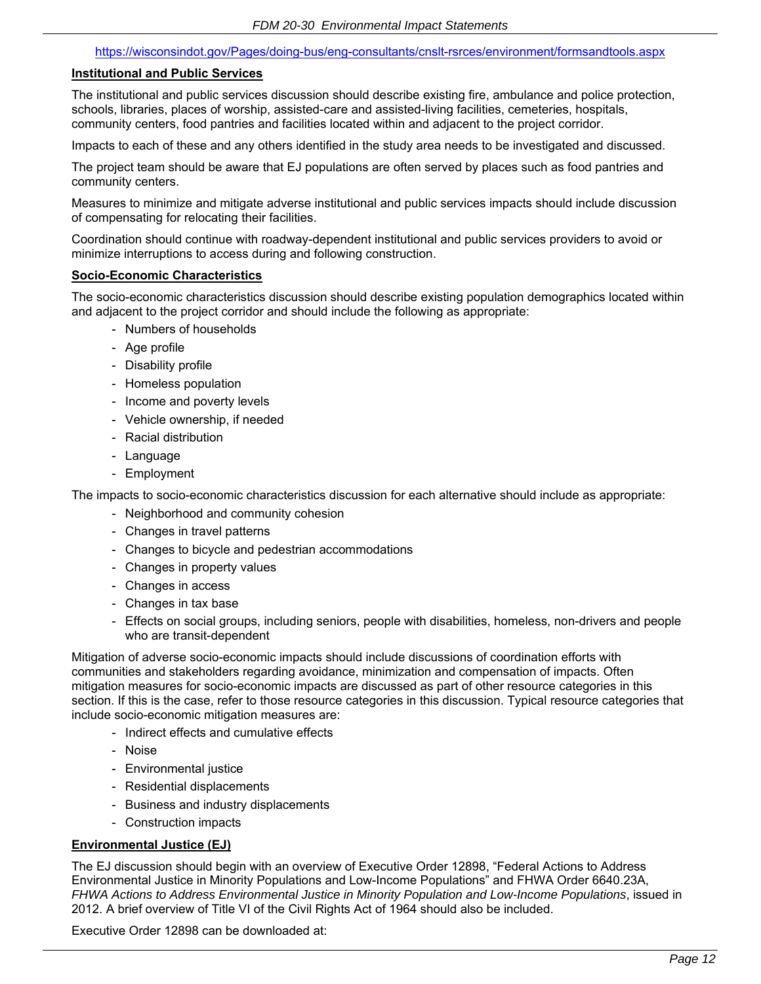#### https://wisconsindot.gov/Pages/doing-bus/eng-consultants/cnslt-rsrces/environment/formsandtools.aspx

#### **Institutional and Public Services**

The institutional and public services discussion should describe existing fire, ambulance and police protection, schools, libraries, places of worship, assisted-care and assisted-living facilities, cemeteries, hospitals, community centers, food pantries and facilities located within and adjacent to the project corridor.

Impacts to each of these and any others identified in the study area needs to be investigated and discussed.

The project team should be aware that EJ populations are often served by places such as food pantries and community centers.

Measures to minimize and mitigate adverse institutional and public services impacts should include discussion of compensating for relocating their facilities.

Coordination should continue with roadway-dependent institutional and public services providers to avoid or minimize interruptions to access during and following construction.

#### **Socio-Economic Characteristics**

The socio-economic characteristics discussion should describe existing population demographics located within and adjacent to the project corridor and should include the following as appropriate:

- Numbers of households
- Age profile
- Disability profile
- Homeless population
- Income and poverty levels
- Vehicle ownership, if needed
- Racial distribution
- Language
- Employment

The impacts to socio-economic characteristics discussion for each alternative should include as appropriate:

- Neighborhood and community cohesion
- Changes in travel patterns
- Changes to bicycle and pedestrian accommodations
- Changes in property values
- Changes in access
- Changes in tax base
- Effects on social groups, including seniors, people with disabilities, homeless, non-drivers and people who are transit-dependent

Mitigation of adverse socio-economic impacts should include discussions of coordination efforts with communities and stakeholders regarding avoidance, minimization and compensation of impacts. Often mitigation measures for socio-economic impacts are discussed as part of other resource categories in this section. If this is the case, refer to those resource categories in this discussion. Typical resource categories that include socio-economic mitigation measures are:

- Indirect effects and cumulative effects
- Noise
- Environmental justice
- Residential displacements
- Business and industry displacements
- Construction impacts

#### **Environmental Justice (EJ)**

The EJ discussion should begin with an overview of Executive Order 12898, "Federal Actions to Address Environmental Justice in Minority Populations and Low-Income Populations" and FHWA Order 6640.23A, *FHWA Actions to Address Environmental Justice in Minority Population and Low-Income Populations*, issued in 2012. A brief overview of Title VI of the Civil Rights Act of 1964 should also be included.

Executive Order 12898 can be downloaded at: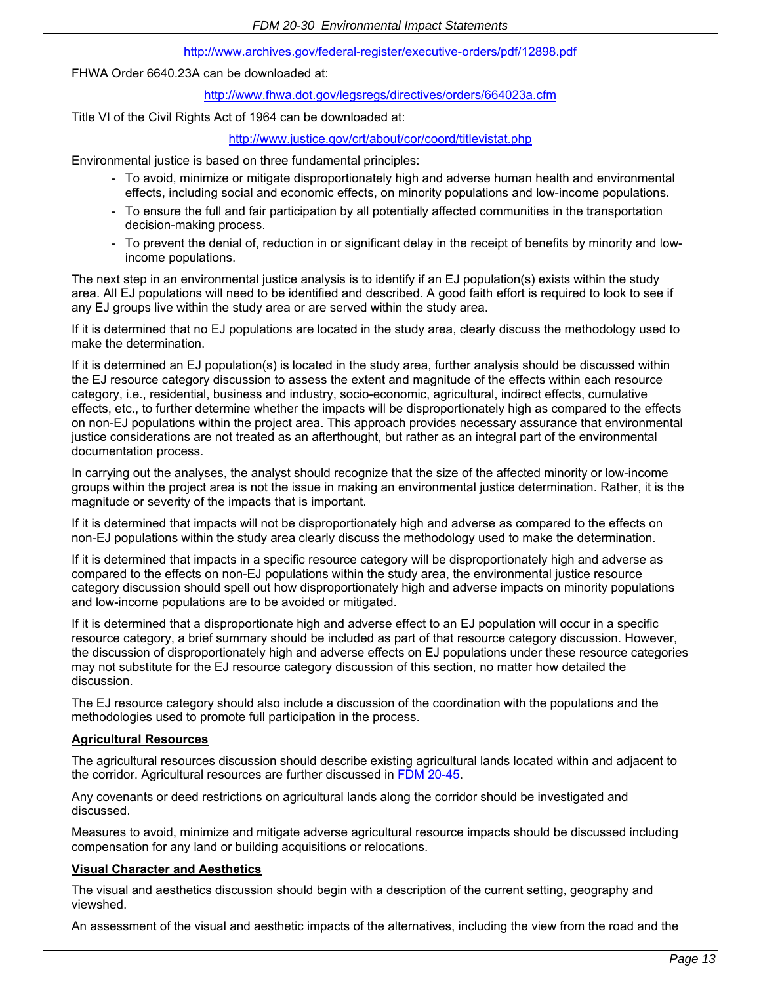#### http://www.archives.gov/federal-register/executive-orders/pdf/12898.pdf

FHWA Order 6640.23A can be downloaded at:

http://www.fhwa.dot.gov/legsregs/directives/orders/664023a.cfm

Title VI of the Civil Rights Act of 1964 can be downloaded at:

#### http://www.justice.gov/crt/about/cor/coord/titlevistat.php

Environmental justice is based on three fundamental principles:

- To avoid, minimize or mitigate disproportionately high and adverse human health and environmental effects, including social and economic effects, on minority populations and low-income populations.
- To ensure the full and fair participation by all potentially affected communities in the transportation decision-making process.
- To prevent the denial of, reduction in or significant delay in the receipt of benefits by minority and lowincome populations.

The next step in an environmental justice analysis is to identify if an EJ population(s) exists within the study area. All EJ populations will need to be identified and described. A good faith effort is required to look to see if any EJ groups live within the study area or are served within the study area.

If it is determined that no EJ populations are located in the study area, clearly discuss the methodology used to make the determination.

If it is determined an EJ population(s) is located in the study area, further analysis should be discussed within the EJ resource category discussion to assess the extent and magnitude of the effects within each resource category, i.e., residential, business and industry, socio-economic, agricultural, indirect effects, cumulative effects, etc., to further determine whether the impacts will be disproportionately high as compared to the effects on non-EJ populations within the project area. This approach provides necessary assurance that environmental justice considerations are not treated as an afterthought, but rather as an integral part of the environmental documentation process.

In carrying out the analyses, the analyst should recognize that the size of the affected minority or low-income groups within the project area is not the issue in making an environmental justice determination. Rather, it is the magnitude or severity of the impacts that is important.

If it is determined that impacts will not be disproportionately high and adverse as compared to the effects on non-EJ populations within the study area clearly discuss the methodology used to make the determination.

If it is determined that impacts in a specific resource category will be disproportionately high and adverse as compared to the effects on non-EJ populations within the study area, the environmental justice resource category discussion should spell out how disproportionately high and adverse impacts on minority populations and low-income populations are to be avoided or mitigated.

If it is determined that a disproportionate high and adverse effect to an EJ population will occur in a specific resource category, a brief summary should be included as part of that resource category discussion. However, the discussion of disproportionately high and adverse effects on EJ populations under these resource categories may not substitute for the EJ resource category discussion of this section, no matter how detailed the discussion.

The EJ resource category should also include a discussion of the coordination with the populations and the methodologies used to promote full participation in the process.

#### **Agricultural Resources**

The agricultural resources discussion should describe existing agricultural lands located within and adjacent to the corridor. Agricultural resources are further discussed in [FDM 20-45](https://wisconsindot.gov/rdwy/fdm/fd-20-45.pdf#fd20-45).

Any covenants or deed restrictions on agricultural lands along the corridor should be investigated and discussed.

Measures to avoid, minimize and mitigate adverse agricultural resource impacts should be discussed including compensation for any land or building acquisitions or relocations.

#### **Visual Character and Aesthetics**

The visual and aesthetics discussion should begin with a description of the current setting, geography and viewshed.

An assessment of the visual and aesthetic impacts of the alternatives, including the view from the road and the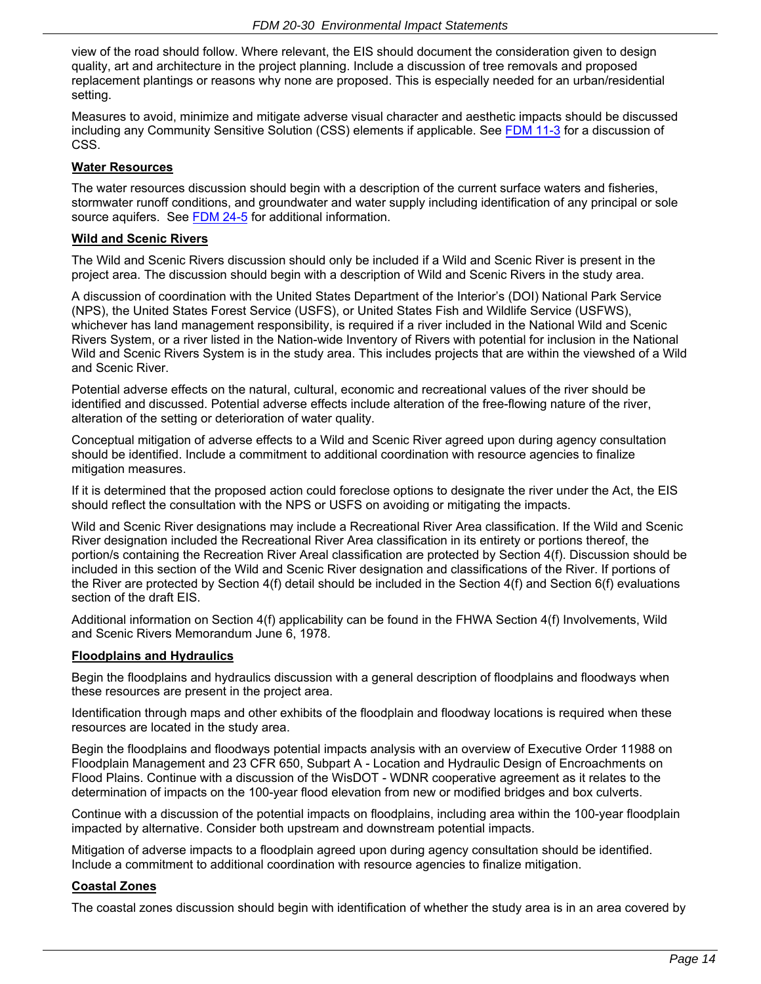view of the road should follow. Where relevant, the EIS should document the consideration given to design quality, art and architecture in the project planning. Include a discussion of tree removals and proposed replacement plantings or reasons why none are proposed. This is especially needed for an urban/residential setting.

Measures to avoid, minimize and mitigate adverse visual character and aesthetic impacts should be discussed including any Community Sensitive Solution (CSS) elements if applicable. See [FDM 11-3](https://wisconsindot.gov/rdwy/fdm/fd-11-03.pdf#fd11-3) for a discussion of CSS.

### **Water Resources**

The water resources discussion should begin with a description of the current surface waters and fisheries, stormwater runoff conditions, and groundwater and water supply including identification of any principal or sole source aquifers. See [FDM](https://wisconsindot.gov/rdwy/fdm/fd-24-05.pdf#fd24-5) 24-5 for additional information.

### **Wild and Scenic Rivers**

The Wild and Scenic Rivers discussion should only be included if a Wild and Scenic River is present in the project area. The discussion should begin with a description of Wild and Scenic Rivers in the study area.

A discussion of coordination with the United States Department of the Interior's (DOI) National Park Service (NPS), the United States Forest Service (USFS), or United States Fish and Wildlife Service (USFWS), whichever has land management responsibility, is required if a river included in the National Wild and Scenic Rivers System, or a river listed in the Nation-wide Inventory of Rivers with potential for inclusion in the National Wild and Scenic Rivers System is in the study area. This includes projects that are within the viewshed of a Wild and Scenic River.

Potential adverse effects on the natural, cultural, economic and recreational values of the river should be identified and discussed. Potential adverse effects include alteration of the free-flowing nature of the river, alteration of the setting or deterioration of water quality.

Conceptual mitigation of adverse effects to a Wild and Scenic River agreed upon during agency consultation should be identified. Include a commitment to additional coordination with resource agencies to finalize mitigation measures.

If it is determined that the proposed action could foreclose options to designate the river under the Act, the EIS should reflect the consultation with the NPS or USFS on avoiding or mitigating the impacts.

Wild and Scenic River designations may include a Recreational River Area classification. If the Wild and Scenic River designation included the Recreational River Area classification in its entirety or portions thereof, the portion/s containing the Recreation River Areal classification are protected by Section 4(f). Discussion should be included in this section of the Wild and Scenic River designation and classifications of the River. If portions of the River are protected by Section 4(f) detail should be included in the Section 4(f) and Section 6(f) evaluations section of the draft EIS.

Additional information on Section 4(f) applicability can be found in the FHWA Section 4(f) Involvements, Wild and Scenic Rivers Memorandum June 6, 1978.

#### **Floodplains and Hydraulics**

Begin the floodplains and hydraulics discussion with a general description of floodplains and floodways when these resources are present in the project area.

Identification through maps and other exhibits of the floodplain and floodway locations is required when these resources are located in the study area.

Begin the floodplains and floodways potential impacts analysis with an overview of Executive Order 11988 on Floodplain Management and 23 CFR 650, Subpart A - Location and Hydraulic Design of Encroachments on Flood Plains. Continue with a discussion of the WisDOT - WDNR cooperative agreement as it relates to the determination of impacts on the 100-year flood elevation from new or modified bridges and box culverts.

Continue with a discussion of the potential impacts on floodplains, including area within the 100-year floodplain impacted by alternative. Consider both upstream and downstream potential impacts.

Mitigation of adverse impacts to a floodplain agreed upon during agency consultation should be identified. Include a commitment to additional coordination with resource agencies to finalize mitigation.

#### **Coastal Zones**

The coastal zones discussion should begin with identification of whether the study area is in an area covered by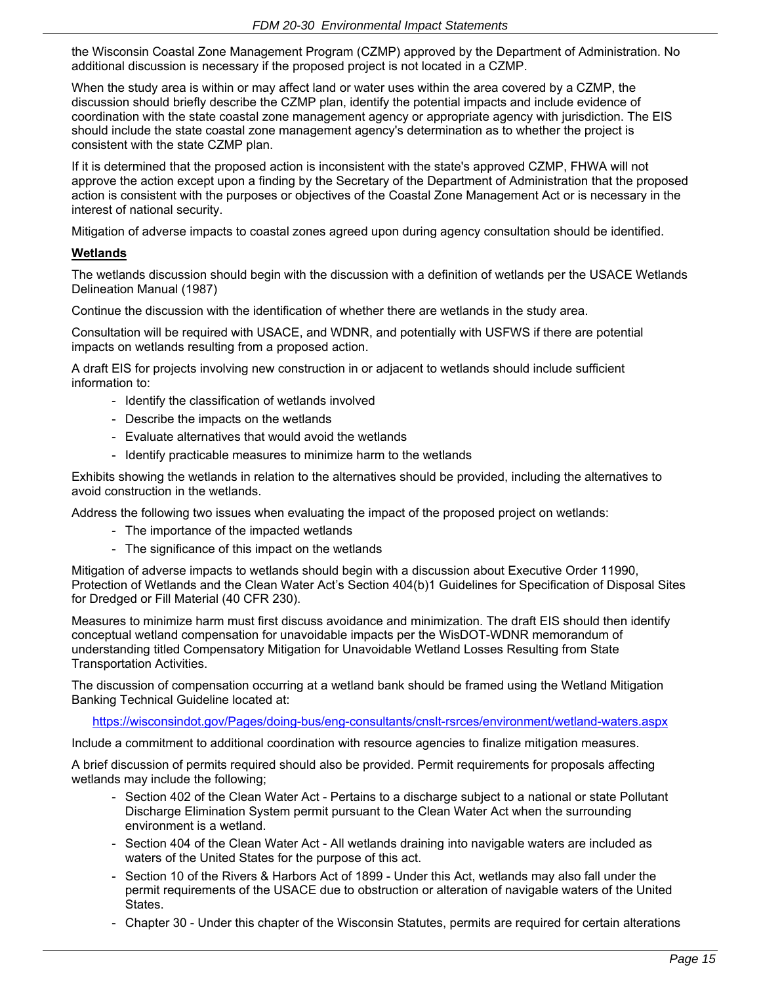the Wisconsin Coastal Zone Management Program (CZMP) approved by the Department of Administration. No additional discussion is necessary if the proposed project is not located in a CZMP.

When the study area is within or may affect land or water uses within the area covered by a CZMP, the discussion should briefly describe the CZMP plan, identify the potential impacts and include evidence of coordination with the state coastal zone management agency or appropriate agency with jurisdiction. The EIS should include the state coastal zone management agency's determination as to whether the project is consistent with the state CZMP plan.

If it is determined that the proposed action is inconsistent with the state's approved CZMP, FHWA will not approve the action except upon a finding by the Secretary of the Department of Administration that the proposed action is consistent with the purposes or objectives of the Coastal Zone Management Act or is necessary in the interest of national security.

Mitigation of adverse impacts to coastal zones agreed upon during agency consultation should be identified.

# **Wetlands**

The wetlands discussion should begin with the discussion with a definition of wetlands per the USACE Wetlands Delineation Manual (1987)

Continue the discussion with the identification of whether there are wetlands in the study area.

Consultation will be required with USACE, and WDNR, and potentially with USFWS if there are potential impacts on wetlands resulting from a proposed action.

A draft EIS for projects involving new construction in or adjacent to wetlands should include sufficient information to:

- Identify the classification of wetlands involved
- Describe the impacts on the wetlands
- Evaluate alternatives that would avoid the wetlands
- Identify practicable measures to minimize harm to the wetlands

Exhibits showing the wetlands in relation to the alternatives should be provided, including the alternatives to avoid construction in the wetlands.

Address the following two issues when evaluating the impact of the proposed project on wetlands:

- The importance of the impacted wetlands
- The significance of this impact on the wetlands

Mitigation of adverse impacts to wetlands should begin with a discussion about Executive Order 11990, Protection of Wetlands and the Clean Water Act's Section 404(b)1 Guidelines for Specification of Disposal Sites for Dredged or Fill Material (40 CFR 230).

Measures to minimize harm must first discuss avoidance and minimization. The draft EIS should then identify conceptual wetland compensation for unavoidable impacts per the WisDOT-WDNR memorandum of understanding titled Compensatory Mitigation for Unavoidable Wetland Losses Resulting from State Transportation Activities.

The discussion of compensation occurring at a wetland bank should be framed using the Wetland Mitigation Banking Technical Guideline located at:

https://wisconsindot.gov/Pages/doing-bus/eng-consultants/cnslt-rsrces/environment/wetland-waters.aspx

Include a commitment to additional coordination with resource agencies to finalize mitigation measures.

A brief discussion of permits required should also be provided. Permit requirements for proposals affecting wetlands may include the following;

- Section 402 of the Clean Water Act Pertains to a discharge subject to a national or state Pollutant Discharge Elimination System permit pursuant to the Clean Water Act when the surrounding environment is a wetland.
- Section 404 of the Clean Water Act All wetlands draining into navigable waters are included as waters of the United States for the purpose of this act.
- Section 10 of the Rivers & Harbors Act of 1899 Under this Act, wetlands may also fall under the permit requirements of the USACE due to obstruction or alteration of navigable waters of the United States.
- Chapter 30 Under this chapter of the Wisconsin Statutes, permits are required for certain alterations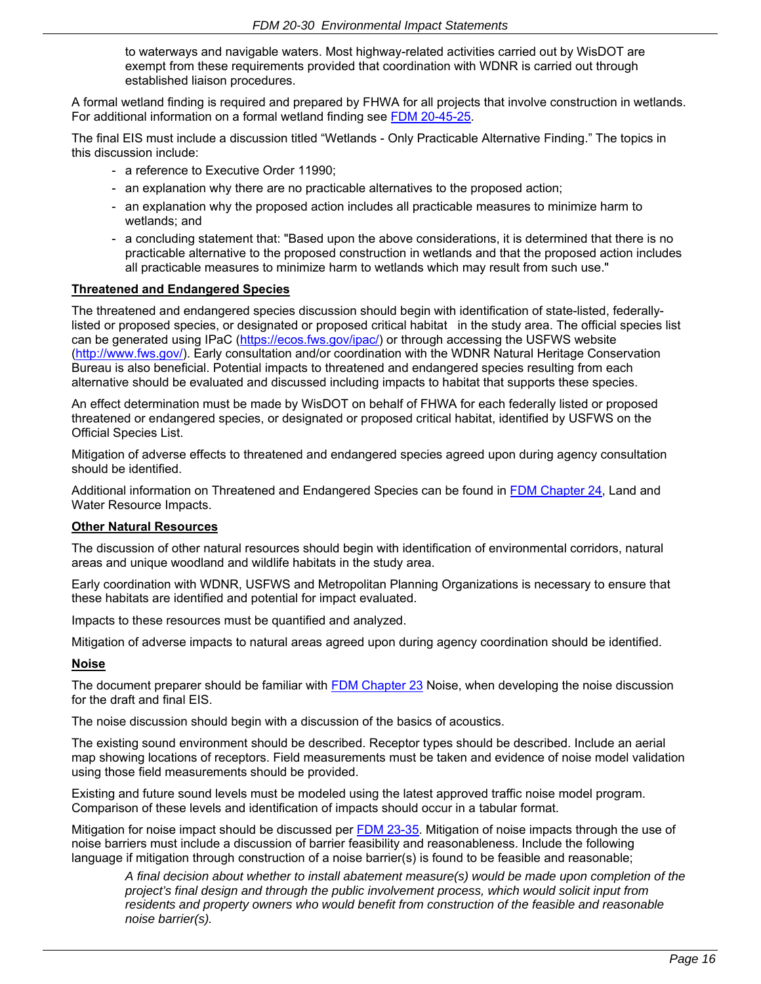to waterways and navigable waters. Most highway-related activities carried out by WisDOT are exempt from these requirements provided that coordination with WDNR is carried out through established liaison procedures.

A formal wetland finding is required and prepared by FHWA for all projects that involve construction in wetlands. For additional information on a formal wetland finding see [FDM 20-45-25.](https://wisconsindot.gov/rdwy/fdm/fd-20-45.pdf#fd20-45-25)

The final EIS must include a discussion titled "Wetlands - Only Practicable Alternative Finding." The topics in this discussion include:

- a reference to Executive Order 11990;
- an explanation why there are no practicable alternatives to the proposed action;
- an explanation why the proposed action includes all practicable measures to minimize harm to wetlands; and
- a concluding statement that: "Based upon the above considerations, it is determined that there is no practicable alternative to the proposed construction in wetlands and that the proposed action includes all practicable measures to minimize harm to wetlands which may result from such use."

#### **Threatened and Endangered Species**

The threatened and endangered species discussion should begin with identification of state-listed, federallylisted or proposed species, or designated or proposed critical habitat in the study area. The official species list can be generated using IPaC (https://ecos.fws.gov/ipac/) or through accessing the USFWS website (http://www.fws.gov/). Early consultation and/or coordination with the WDNR Natural Heritage Conservation Bureau is also beneficial. Potential impacts to threatened and endangered species resulting from each alternative should be evaluated and discussed including impacts to habitat that supports these species.

An effect determination must be made by WisDOT on behalf of FHWA for each federally listed or proposed threatened or endangered species, or designated or proposed critical habitat, identified by USFWS on the Official Species List.

Mitigation of adverse effects to threatened and endangered species agreed upon during agency consultation should be identified.

Additional information on Threatened and Endangered Species can be found in [FDM Chapter 24,](https://wisconsindot.gov/rdwy/fdm/fd-24-00toc.pdf#fd24) Land and Water Resource Impacts.

#### **Other Natural Resources**

The discussion of other natural resources should begin with identification of environmental corridors, natural areas and unique woodland and wildlife habitats in the study area.

Early coordination with WDNR, USFWS and Metropolitan Planning Organizations is necessary to ensure that these habitats are identified and potential for impact evaluated.

Impacts to these resources must be quantified and analyzed.

Mitigation of adverse impacts to natural areas agreed upon during agency coordination should be identified.

### **Noise**

The document preparer should be familiar with [FDM Chapter 23](https://wisconsindot.gov/rdwy/fdm/fd-23-00toc.pdf#fd23) Noise, when developing the noise discussion for the draft and final EIS.

The noise discussion should begin with a discussion of the basics of acoustics.

The existing sound environment should be described. Receptor types should be described. Include an aerial map showing locations of receptors. Field measurements must be taken and evidence of noise model validation using those field measurements should be provided.

Existing and future sound levels must be modeled using the latest approved traffic noise model program. Comparison of these levels and identification of impacts should occur in a tabular format.

Mitigation for noise impact should be discussed per [FDM 23-35.](https://wisconsindot.gov/rdwy/fdm/fd-23-35.pdf#fd23-35) Mitigation of noise impacts through the use of noise barriers must include a discussion of barrier feasibility and reasonableness. Include the following language if mitigation through construction of a noise barrier(s) is found to be feasible and reasonable;

 *A final decision about whether to install abatement measure(s) would be made upon completion of the project's final design and through the public involvement process, which would solicit input from residents and property owners who would benefit from construction of the feasible and reasonable noise barrier(s).*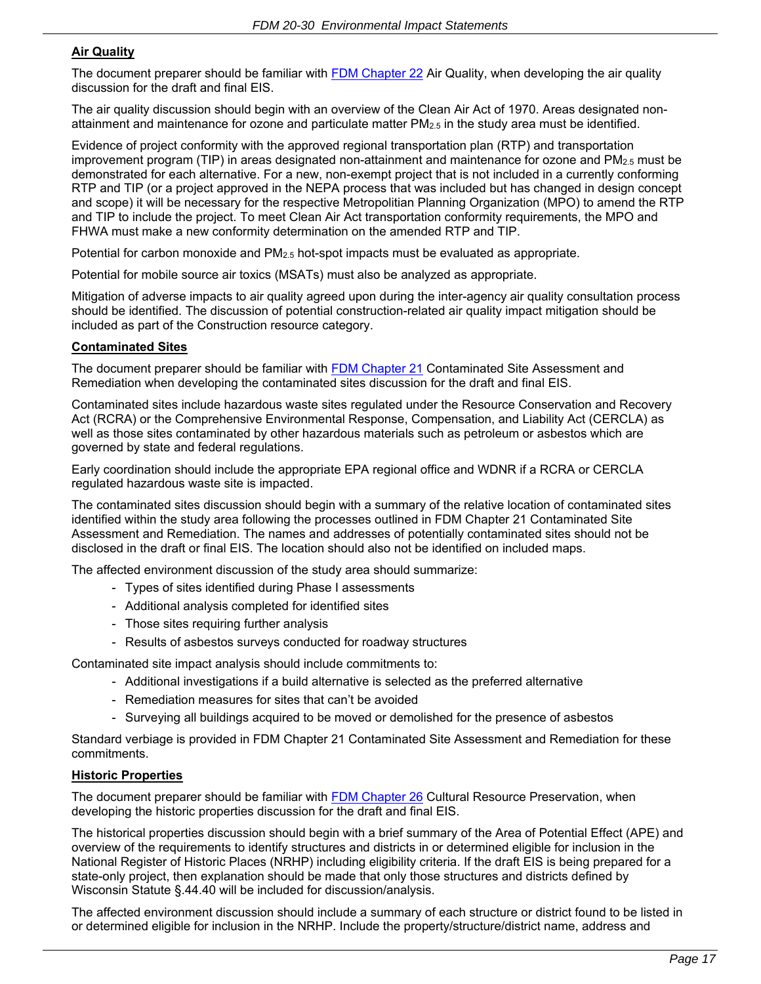# **Air Quality**

The document preparer should be familiar with [FDM Chapter 22](https://wisconsindot.gov/rdwy/fdm/fd-22-00toc.pdf#fd22) Air Quality, when developing the air quality discussion for the draft and final EIS.

The air quality discussion should begin with an overview of the Clean Air Act of 1970. Areas designated nonattainment and maintenance for ozone and particulate matter  $PM_{2.5}$  in the study area must be identified.

Evidence of project conformity with the approved regional transportation plan (RTP) and transportation improvement program (TIP) in areas designated non-attainment and maintenance for ozone and  $PM_{2.5}$  must be demonstrated for each alternative. For a new, non-exempt project that is not included in a currently conforming RTP and TIP (or a project approved in the NEPA process that was included but has changed in design concept and scope) it will be necessary for the respective Metropolitian Planning Organization (MPO) to amend the RTP and TIP to include the project. To meet Clean Air Act transportation conformity requirements, the MPO and FHWA must make a new conformity determination on the amended RTP and TIP.

Potential for carbon monoxide and PM2.5 hot-spot impacts must be evaluated as appropriate.

Potential for mobile source air toxics (MSATs) must also be analyzed as appropriate.

Mitigation of adverse impacts to air quality agreed upon during the inter-agency air quality consultation process should be identified. The discussion of potential construction-related air quality impact mitigation should be included as part of the Construction resource category.

## **Contaminated Sites**

The document preparer should be familiar with [FDM Chapter 21](https://wisconsindot.gov/rdwy/fdm/fd-21-00toc.pdf#fd21) Contaminated Site Assessment and Remediation when developing the contaminated sites discussion for the draft and final EIS.

Contaminated sites include hazardous waste sites regulated under the Resource Conservation and Recovery Act (RCRA) or the Comprehensive Environmental Response, Compensation, and Liability Act (CERCLA) as well as those sites contaminated by other hazardous materials such as petroleum or asbestos which are governed by state and federal regulations.

Early coordination should include the appropriate EPA regional office and WDNR if a RCRA or CERCLA regulated hazardous waste site is impacted.

The contaminated sites discussion should begin with a summary of the relative location of contaminated sites identified within the study area following the processes outlined in FDM Chapter 21 Contaminated Site Assessment and Remediation. The names and addresses of potentially contaminated sites should not be disclosed in the draft or final EIS. The location should also not be identified on included maps.

The affected environment discussion of the study area should summarize:

- Types of sites identified during Phase I assessments
- Additional analysis completed for identified sites
- Those sites requiring further analysis
- Results of asbestos surveys conducted for roadway structures

Contaminated site impact analysis should include commitments to:

- Additional investigations if a build alternative is selected as the preferred alternative
- Remediation measures for sites that can't be avoided
- Surveying all buildings acquired to be moved or demolished for the presence of asbestos

Standard verbiage is provided in FDM Chapter 21 Contaminated Site Assessment and Remediation for these commitments.

## **Historic Properties**

The document preparer should be familiar with [FDM Chapter 26](https://wisconsindot.gov/rdwy/fdm/fd-26-00toc.pdf#fd26) Cultural Resource Preservation, when developing the historic properties discussion for the draft and final EIS.

The historical properties discussion should begin with a brief summary of the Area of Potential Effect (APE) and overview of the requirements to identify structures and districts in or determined eligible for inclusion in the National Register of Historic Places (NRHP) including eligibility criteria. If the draft EIS is being prepared for a state-only project, then explanation should be made that only those structures and districts defined by Wisconsin Statute §.44.40 will be included for discussion/analysis.

The affected environment discussion should include a summary of each structure or district found to be listed in or determined eligible for inclusion in the NRHP. Include the property/structure/district name, address and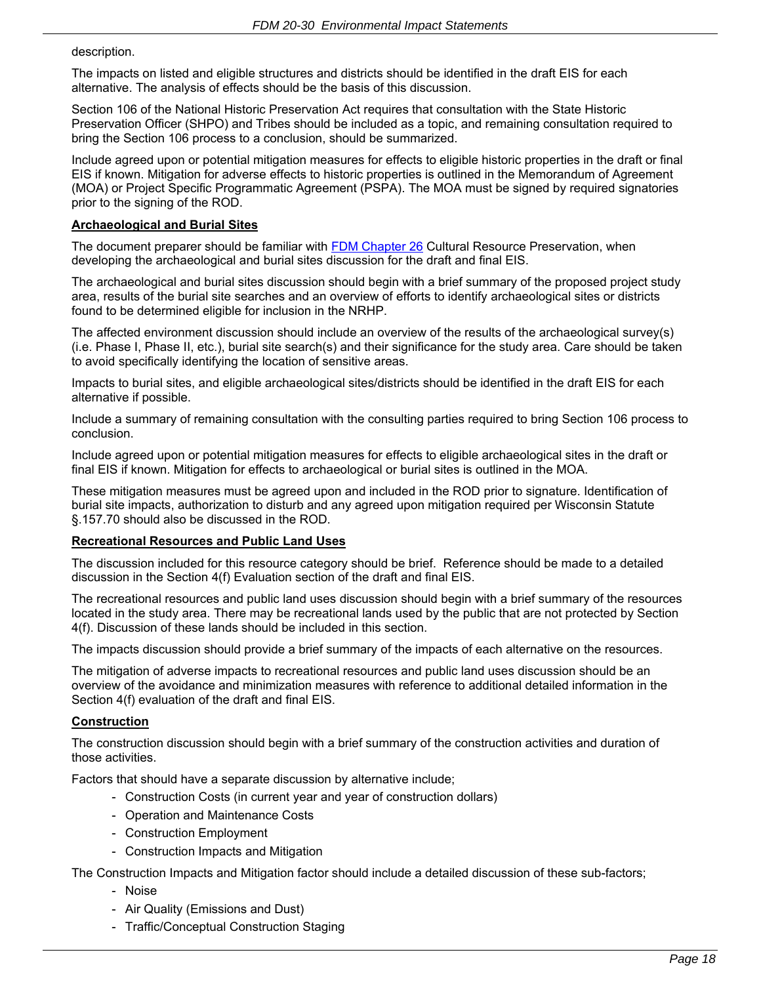description.

The impacts on listed and eligible structures and districts should be identified in the draft EIS for each alternative. The analysis of effects should be the basis of this discussion.

Section 106 of the National Historic Preservation Act requires that consultation with the State Historic Preservation Officer (SHPO) and Tribes should be included as a topic, and remaining consultation required to bring the Section 106 process to a conclusion, should be summarized.

Include agreed upon or potential mitigation measures for effects to eligible historic properties in the draft or final EIS if known. Mitigation for adverse effects to historic properties is outlined in the Memorandum of Agreement (MOA) or Project Specific Programmatic Agreement (PSPA). The MOA must be signed by required signatories prior to the signing of the ROD.

# **Archaeological and Burial Sites**

The document preparer should be familiar with [FDM Chapter 26](https://wisconsindot.gov/rdwy/fdm/fd-26-00toc.pdf#fd26) Cultural Resource Preservation, when developing the archaeological and burial sites discussion for the draft and final EIS.

The archaeological and burial sites discussion should begin with a brief summary of the proposed project study area, results of the burial site searches and an overview of efforts to identify archaeological sites or districts found to be determined eligible for inclusion in the NRHP.

The affected environment discussion should include an overview of the results of the archaeological survey(s) (i.e. Phase I, Phase II, etc.), burial site search(s) and their significance for the study area. Care should be taken to avoid specifically identifying the location of sensitive areas.

Impacts to burial sites, and eligible archaeological sites/districts should be identified in the draft EIS for each alternative if possible.

Include a summary of remaining consultation with the consulting parties required to bring Section 106 process to conclusion.

Include agreed upon or potential mitigation measures for effects to eligible archaeological sites in the draft or final EIS if known. Mitigation for effects to archaeological or burial sites is outlined in the MOA.

These mitigation measures must be agreed upon and included in the ROD prior to signature. Identification of burial site impacts, authorization to disturb and any agreed upon mitigation required per Wisconsin Statute §.157.70 should also be discussed in the ROD.

#### **Recreational Resources and Public Land Uses**

The discussion included for this resource category should be brief. Reference should be made to a detailed discussion in the Section 4(f) Evaluation section of the draft and final EIS.

The recreational resources and public land uses discussion should begin with a brief summary of the resources located in the study area. There may be recreational lands used by the public that are not protected by Section 4(f). Discussion of these lands should be included in this section.

The impacts discussion should provide a brief summary of the impacts of each alternative on the resources.

The mitigation of adverse impacts to recreational resources and public land uses discussion should be an overview of the avoidance and minimization measures with reference to additional detailed information in the Section 4(f) evaluation of the draft and final EIS.

## **Construction**

The construction discussion should begin with a brief summary of the construction activities and duration of those activities.

Factors that should have a separate discussion by alternative include;

- Construction Costs (in current year and year of construction dollars)
- Operation and Maintenance Costs
- Construction Employment
- Construction Impacts and Mitigation

The Construction Impacts and Mitigation factor should include a detailed discussion of these sub-factors;

- Noise
- Air Quality (Emissions and Dust)
- Traffic/Conceptual Construction Staging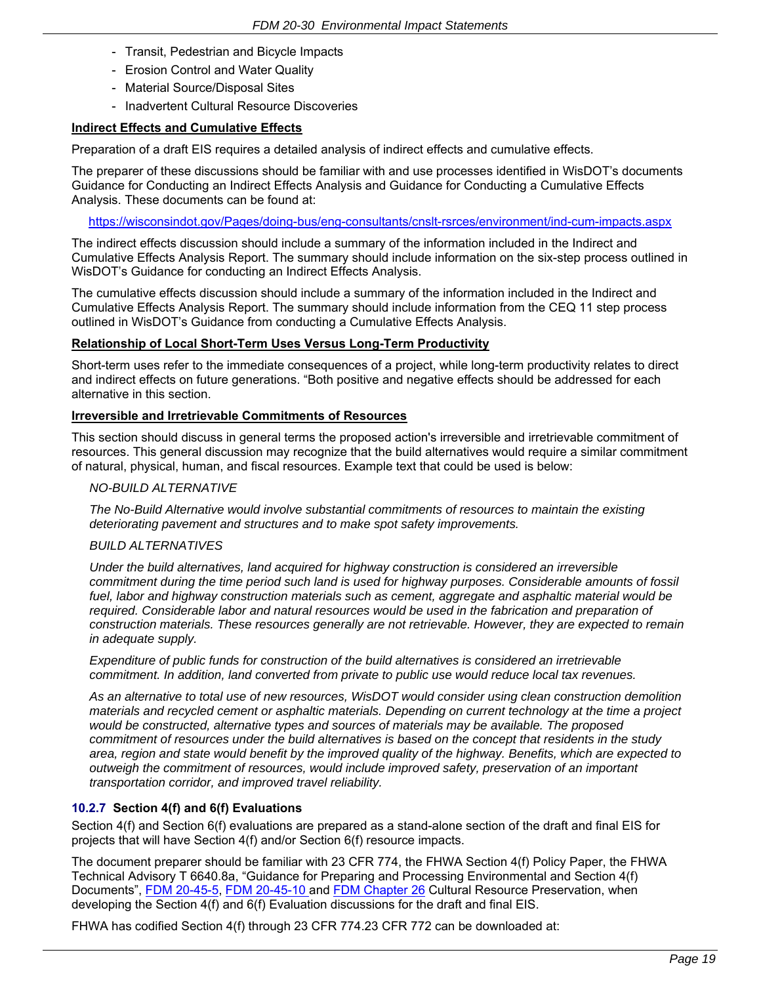- Transit, Pedestrian and Bicycle Impacts
- Erosion Control and Water Quality
- Material Source/Disposal Sites
- Inadvertent Cultural Resource Discoveries

### **Indirect Effects and Cumulative Effects**

Preparation of a draft EIS requires a detailed analysis of indirect effects and cumulative effects.

The preparer of these discussions should be familiar with and use processes identified in WisDOT's documents Guidance for Conducting an Indirect Effects Analysis and Guidance for Conducting a Cumulative Effects Analysis. These documents can be found at:

https://wisconsindot.gov/Pages/doing-bus/eng-consultants/cnslt-rsrces/environment/ind-cum-impacts.aspx

The indirect effects discussion should include a summary of the information included in the Indirect and Cumulative Effects Analysis Report. The summary should include information on the six-step process outlined in WisDOT's Guidance for conducting an Indirect Effects Analysis.

The cumulative effects discussion should include a summary of the information included in the Indirect and Cumulative Effects Analysis Report. The summary should include information from the CEQ 11 step process outlined in WisDOT's Guidance from conducting a Cumulative Effects Analysis.

#### **Relationship of Local Short-Term Uses Versus Long-Term Productivity**

Short-term uses refer to the immediate consequences of a project, while long-term productivity relates to direct and indirect effects on future generations. "Both positive and negative effects should be addressed for each alternative in this section.

#### **Irreversible and Irretrievable Commitments of Resources**

This section should discuss in general terms the proposed action's irreversible and irretrievable commitment of resources. This general discussion may recognize that the build alternatives would require a similar commitment of natural, physical, human, and fiscal resources. Example text that could be used is below:

### *NO-BUILD ALTERNATIVE*

*The No-Build Alternative would involve substantial commitments of resources to maintain the existing deteriorating pavement and structures and to make spot safety improvements.* 

#### *BUILD ALTERNATIVES*

*Under the build alternatives, land acquired for highway construction is considered an irreversible commitment during the time period such land is used for highway purposes. Considerable amounts of fossil fuel, labor and highway construction materials such as cement, aggregate and asphaltic material would be required. Considerable labor and natural resources would be used in the fabrication and preparation of construction materials. These resources generally are not retrievable. However, they are expected to remain in adequate supply.* 

*Expenditure of public funds for construction of the build alternatives is considered an irretrievable commitment. In addition, land converted from private to public use would reduce local tax revenues.* 

*As an alternative to total use of new resources, WisDOT would consider using clean construction demolition materials and recycled cement or asphaltic materials. Depending on current technology at the time a project would be constructed, alternative types and sources of materials may be available. The proposed commitment of resources under the build alternatives is based on the concept that residents in the study area, region and state would benefit by the improved quality of the highway. Benefits, which are expected to outweigh the commitment of resources, would include improved safety, preservation of an important transportation corridor, and improved travel reliability.* 

#### **10.2.7 Section 4(f) and 6(f) Evaluations**

Section 4(f) and Section 6(f) evaluations are prepared as a stand-alone section of the draft and final EIS for projects that will have Section 4(f) and/or Section 6(f) resource impacts.

The document preparer should be familiar with 23 CFR 774, the FHWA Section 4(f) Policy Paper, the FHWA Technical Advisory T 6640.8a, "Guidance for Preparing and Processing Environmental and Section 4(f) Documents", [FDM 20-45-5,](https://wisconsindot.gov/rdwy/fdm/fd-20-45.pdf#fd20-45-5) [FDM 20-45-10 a](https://wisconsindot.gov/rdwy/fdm/fd-20-45.pdf#fd20-45-10)nd [FDM Chapter 26](https://wisconsindot.gov/rdwy/fdm/fd-26-00toc.pdf#fd26) Cultural Resource Preservation, when developing the Section 4(f) and 6(f) Evaluation discussions for the draft and final EIS.

FHWA has codified Section 4(f) through 23 CFR 774.23 CFR 772 can be downloaded at: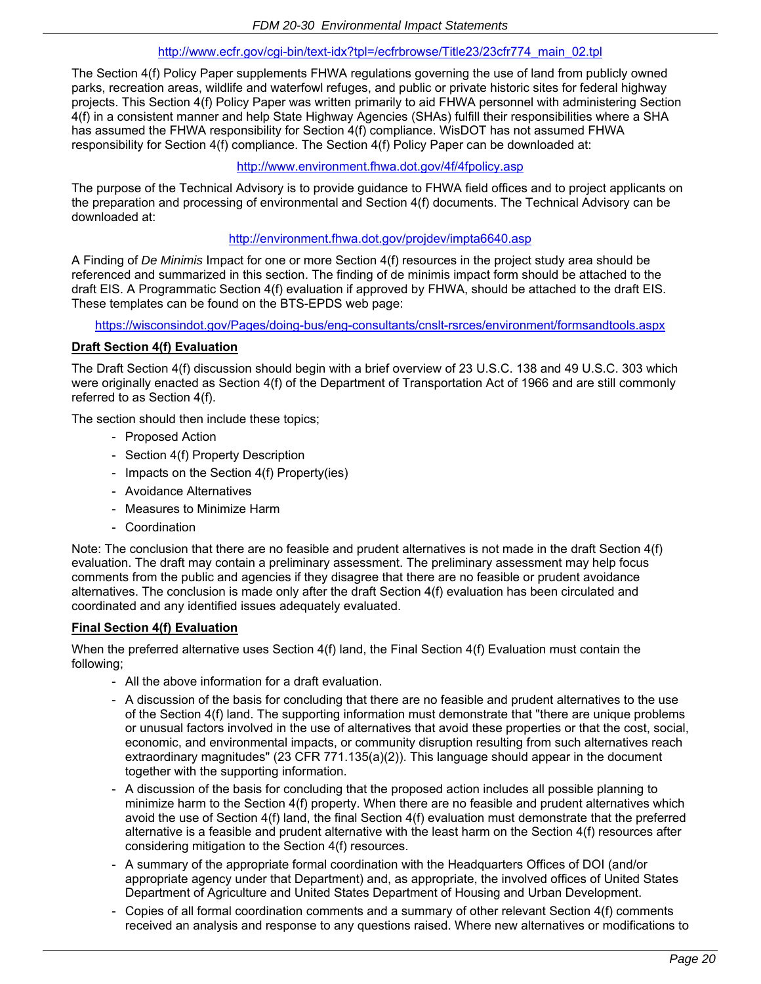## http://www.ecfr.gov/cgi-bin/text-idx?tpl=/ecfrbrowse/Title23/23cfr774\_main\_02.tpl

The Section 4(f) Policy Paper supplements FHWA regulations governing the use of land from publicly owned parks, recreation areas, wildlife and waterfowl refuges, and public or private historic sites for federal highway projects. This Section 4(f) Policy Paper was written primarily to aid FHWA personnel with administering Section 4(f) in a consistent manner and help State Highway Agencies (SHAs) fulfill their responsibilities where a SHA has assumed the FHWA responsibility for Section 4(f) compliance. WisDOT has not assumed FHWA responsibility for Section 4(f) compliance. The Section 4(f) Policy Paper can be downloaded at:

## http://www.environment.fhwa.dot.gov/4f/4fpolicy.asp

The purpose of the Technical Advisory is to provide guidance to FHWA field offices and to project applicants on the preparation and processing of environmental and Section 4(f) documents. The Technical Advisory can be downloaded at:

## http://environment.fhwa.dot.gov/projdev/impta6640.asp

A Finding of *De Minimis* Impact for one or more Section 4(f) resources in the project study area should be referenced and summarized in this section. The finding of de minimis impact form should be attached to the draft EIS. A Programmatic Section 4(f) evaluation if approved by FHWA, should be attached to the draft EIS. These templates can be found on the BTS-EPDS web page:

https://wisconsindot.gov/Pages/doing-bus/eng-consultants/cnslt-rsrces/environment/formsandtools.aspx

### **Draft Section 4(f) Evaluation**

The Draft Section 4(f) discussion should begin with a brief overview of 23 U.S.C. 138 and 49 U.S.C. 303 which were originally enacted as Section 4(f) of the Department of Transportation Act of 1966 and are still commonly referred to as Section 4(f).

The section should then include these topics;

- Proposed Action
- Section 4(f) Property Description
- Impacts on the Section 4(f) Property(ies)
- Avoidance Alternatives
- Measures to Minimize Harm
- Coordination

Note: The conclusion that there are no feasible and prudent alternatives is not made in the draft Section 4(f) evaluation. The draft may contain a preliminary assessment. The preliminary assessment may help focus comments from the public and agencies if they disagree that there are no feasible or prudent avoidance alternatives. The conclusion is made only after the draft Section 4(f) evaluation has been circulated and coordinated and any identified issues adequately evaluated.

#### **Final Section 4(f) Evaluation**

When the preferred alternative uses Section 4(f) land, the Final Section 4(f) Evaluation must contain the following;

- All the above information for a draft evaluation.
- A discussion of the basis for concluding that there are no feasible and prudent alternatives to the use of the Section 4(f) land. The supporting information must demonstrate that "there are unique problems or unusual factors involved in the use of alternatives that avoid these properties or that the cost, social, economic, and environmental impacts, or community disruption resulting from such alternatives reach extraordinary magnitudes" (23 CFR 771.135(a)(2)). This language should appear in the document together with the supporting information.
- A discussion of the basis for concluding that the proposed action includes all possible planning to minimize harm to the Section 4(f) property. When there are no feasible and prudent alternatives which avoid the use of Section 4(f) land, the final Section 4(f) evaluation must demonstrate that the preferred alternative is a feasible and prudent alternative with the least harm on the Section 4(f) resources after considering mitigation to the Section 4(f) resources.
- A summary of the appropriate formal coordination with the Headquarters Offices of DOI (and/or appropriate agency under that Department) and, as appropriate, the involved offices of United States Department of Agriculture and United States Department of Housing and Urban Development.
- Copies of all formal coordination comments and a summary of other relevant Section 4(f) comments received an analysis and response to any questions raised. Where new alternatives or modifications to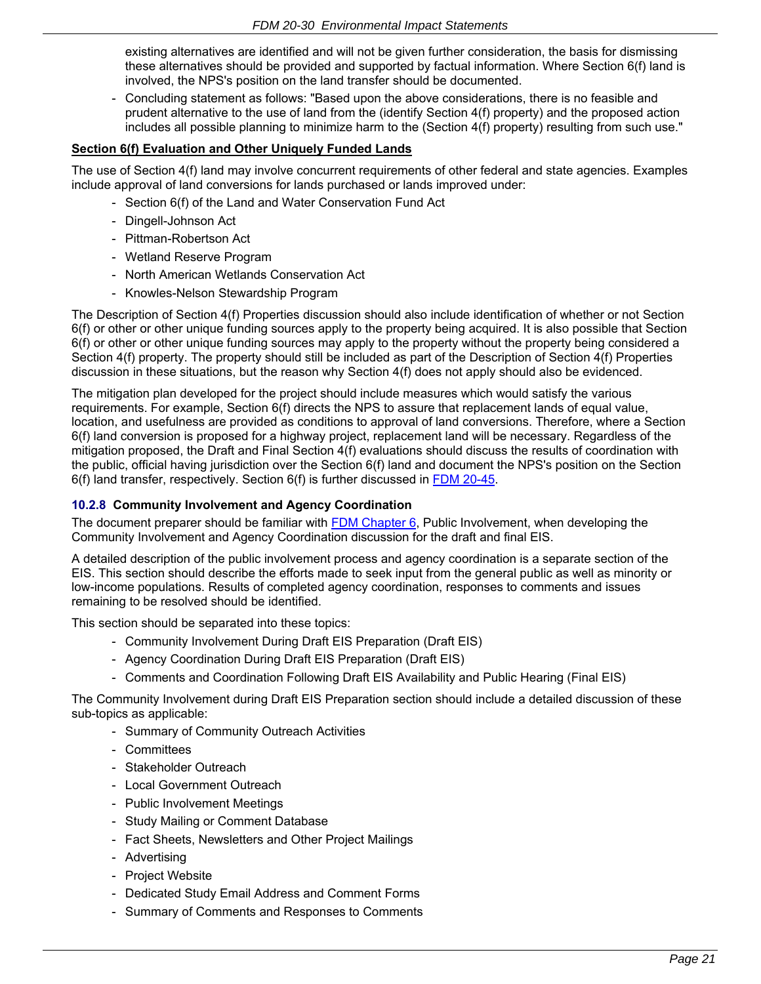existing alternatives are identified and will not be given further consideration, the basis for dismissing these alternatives should be provided and supported by factual information. Where Section 6(f) land is involved, the NPS's position on the land transfer should be documented.

- Concluding statement as follows: "Based upon the above considerations, there is no feasible and prudent alternative to the use of land from the (identify Section 4(f) property) and the proposed action includes all possible planning to minimize harm to the (Section 4(f) property) resulting from such use."

## **Section 6(f) Evaluation and Other Uniquely Funded Lands**

The use of Section 4(f) land may involve concurrent requirements of other federal and state agencies. Examples include approval of land conversions for lands purchased or lands improved under:

- Section 6(f) of the Land and Water Conservation Fund Act
- Dingell-Johnson Act
- Pittman-Robertson Act
- Wetland Reserve Program
- North American Wetlands Conservation Act
- Knowles-Nelson Stewardship Program

The Description of Section 4(f) Properties discussion should also include identification of whether or not Section 6(f) or other or other unique funding sources apply to the property being acquired. It is also possible that Section 6(f) or other or other unique funding sources may apply to the property without the property being considered a Section 4(f) property. The property should still be included as part of the Description of Section 4(f) Properties discussion in these situations, but the reason why Section 4(f) does not apply should also be evidenced.

The mitigation plan developed for the project should include measures which would satisfy the various requirements. For example, Section 6(f) directs the NPS to assure that replacement lands of equal value, location, and usefulness are provided as conditions to approval of land conversions. Therefore, where a Section 6(f) land conversion is proposed for a highway project, replacement land will be necessary. Regardless of the mitigation proposed, the Draft and Final Section 4(f) evaluations should discuss the results of coordination with the public, official having jurisdiction over the Section 6(f) land and document the NPS's position on the Section 6(f) land transfer, respectively. Section 6(f) is further discussed in [FDM 20-45.](https://wisconsindot.gov/rdwy/fdm/fd-20-45.pdf#fd20-45)

## **10.2.8 Community Involvement and Agency Coordination**

The document preparer should be familiar with [FDM Chapter 6,](https://wisconsindot.gov/rdwy/fdm/fd-06-00toc.pdf#fd6) Public Involvement, when developing the Community Involvement and Agency Coordination discussion for the draft and final EIS.

A detailed description of the public involvement process and agency coordination is a separate section of the EIS. This section should describe the efforts made to seek input from the general public as well as minority or low-income populations. Results of completed agency coordination, responses to comments and issues remaining to be resolved should be identified.

This section should be separated into these topics:

- Community Involvement During Draft EIS Preparation (Draft EIS)
- Agency Coordination During Draft EIS Preparation (Draft EIS)
- Comments and Coordination Following Draft EIS Availability and Public Hearing (Final EIS)

The Community Involvement during Draft EIS Preparation section should include a detailed discussion of these sub-topics as applicable:

- Summary of Community Outreach Activities
- Committees
- Stakeholder Outreach
- Local Government Outreach
- Public Involvement Meetings
- Study Mailing or Comment Database
- Fact Sheets, Newsletters and Other Project Mailings
- Advertising
- Project Website
- Dedicated Study Email Address and Comment Forms
- Summary of Comments and Responses to Comments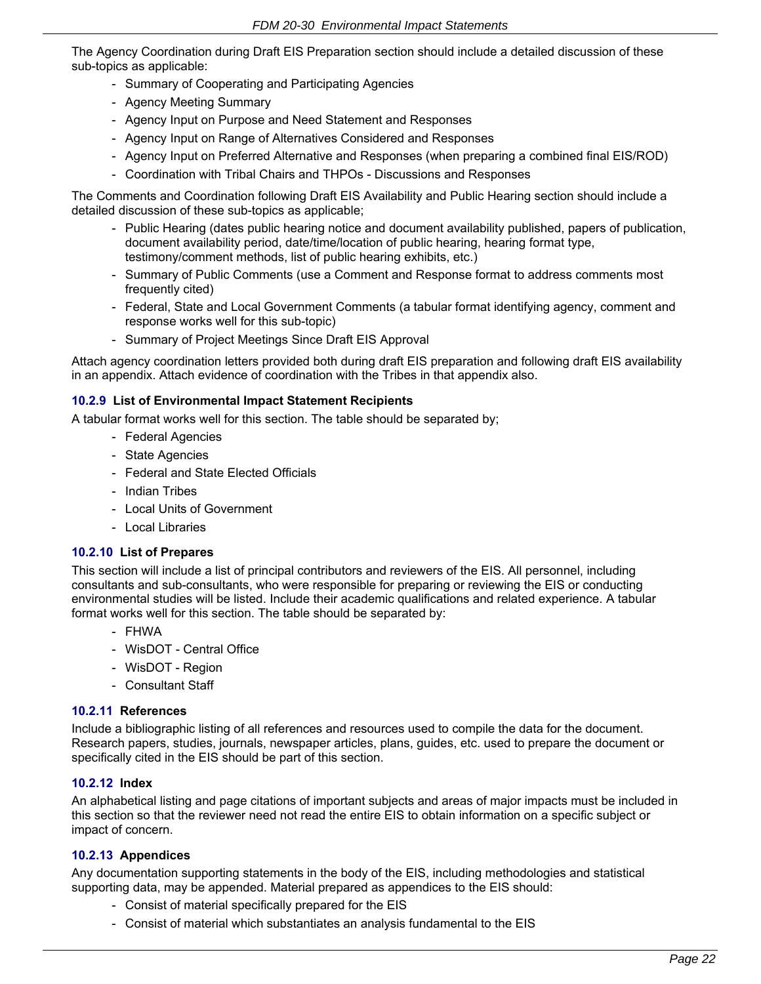The Agency Coordination during Draft EIS Preparation section should include a detailed discussion of these sub-topics as applicable:

- Summary of Cooperating and Participating Agencies
- Agency Meeting Summary
- Agency Input on Purpose and Need Statement and Responses
- Agency Input on Range of Alternatives Considered and Responses
- Agency Input on Preferred Alternative and Responses (when preparing a combined final EIS/ROD)
- Coordination with Tribal Chairs and THPOs Discussions and Responses

The Comments and Coordination following Draft EIS Availability and Public Hearing section should include a detailed discussion of these sub-topics as applicable;

- Public Hearing (dates public hearing notice and document availability published, papers of publication, document availability period, date/time/location of public hearing, hearing format type, testimony/comment methods, list of public hearing exhibits, etc.)
- Summary of Public Comments (use a Comment and Response format to address comments most frequently cited)
- Federal, State and Local Government Comments (a tabular format identifying agency, comment and response works well for this sub-topic)
- Summary of Project Meetings Since Draft EIS Approval

Attach agency coordination letters provided both during draft EIS preparation and following draft EIS availability in an appendix. Attach evidence of coordination with the Tribes in that appendix also.

### **10.2.9 List of Environmental Impact Statement Recipients**

A tabular format works well for this section. The table should be separated by;

- Federal Agencies
- State Agencies
- Federal and State Elected Officials
- Indian Tribes
- Local Units of Government
- Local Libraries

## **10.2.10 List of Prepares**

This section will include a list of principal contributors and reviewers of the EIS. All personnel, including consultants and sub-consultants, who were responsible for preparing or reviewing the EIS or conducting environmental studies will be listed. Include their academic qualifications and related experience. A tabular format works well for this section. The table should be separated by:

- FHWA
- WisDOT Central Office
- WisDOT Region
- Consultant Staff

#### **10.2.11 References**

Include a bibliographic listing of all references and resources used to compile the data for the document. Research papers, studies, journals, newspaper articles, plans, guides, etc. used to prepare the document or specifically cited in the EIS should be part of this section.

#### **10.2.12 Index**

An alphabetical listing and page citations of important subjects and areas of major impacts must be included in this section so that the reviewer need not read the entire EIS to obtain information on a specific subject or impact of concern.

#### **10.2.13 Appendices**

Any documentation supporting statements in the body of the EIS, including methodologies and statistical supporting data, may be appended. Material prepared as appendices to the EIS should:

- Consist of material specifically prepared for the EIS
- Consist of material which substantiates an analysis fundamental to the EIS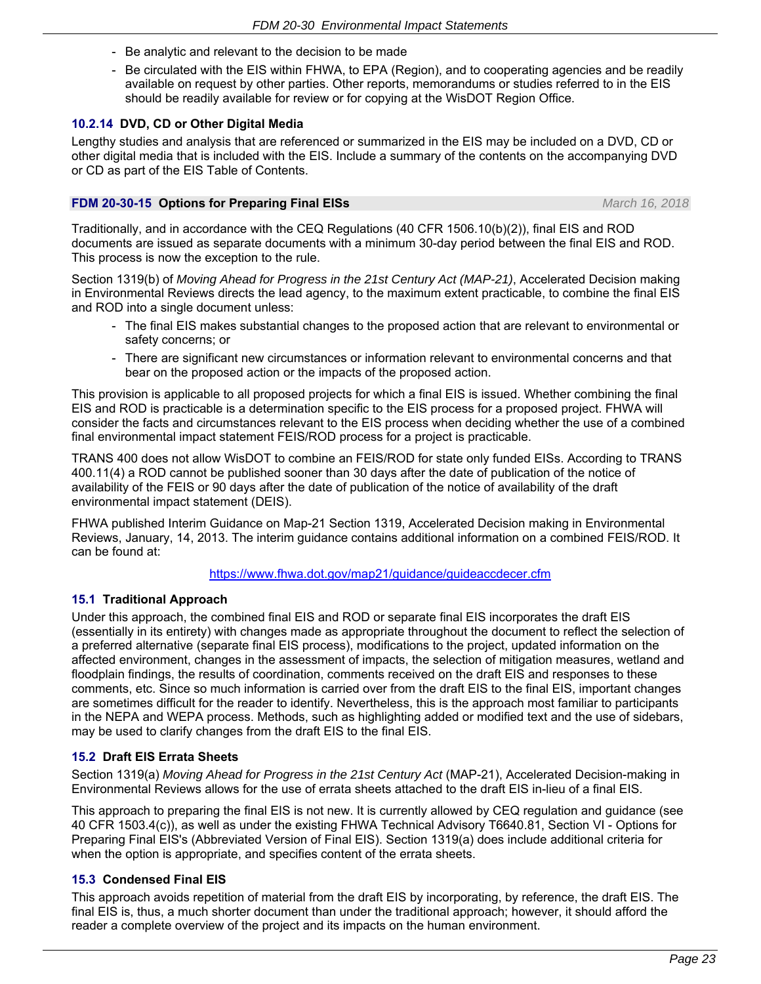- Be analytic and relevant to the decision to be made
- Be circulated with the EIS within FHWA, to EPA (Region), and to cooperating agencies and be readily available on request by other parties. Other reports, memorandums or studies referred to in the EIS should be readily available for review or for copying at the WisDOT Region Office.

### **10.2.14 DVD, CD or Other Digital Media**

Lengthy studies and analysis that are referenced or summarized in the EIS may be included on a DVD, CD or other digital media that is included with the EIS. Include a summary of the contents on the accompanying DVD or CD as part of the EIS Table of Contents.

#### **FDM 20-30-15 Options for Preparing Final EISs** *March 16, 2018*

Traditionally, and in accordance with the CEQ Regulations (40 CFR 1506.10(b)(2)), final EIS and ROD documents are issued as separate documents with a minimum 30-day period between the final EIS and ROD. This process is now the exception to the rule.

Section 1319(b) of *Moving Ahead for Progress in the 21st Century Act (MAP-21)*, Accelerated Decision making in Environmental Reviews directs the lead agency, to the maximum extent practicable, to combine the final EIS and ROD into a single document unless:

- The final EIS makes substantial changes to the proposed action that are relevant to environmental or safety concerns; or
- There are significant new circumstances or information relevant to environmental concerns and that bear on the proposed action or the impacts of the proposed action.

This provision is applicable to all proposed projects for which a final EIS is issued. Whether combining the final EIS and ROD is practicable is a determination specific to the EIS process for a proposed project. FHWA will consider the facts and circumstances relevant to the EIS process when deciding whether the use of a combined final environmental impact statement FEIS/ROD process for a project is practicable.

TRANS 400 does not allow WisDOT to combine an FEIS/ROD for state only funded EISs. According to TRANS 400.11(4) a ROD cannot be published sooner than 30 days after the date of publication of the notice of availability of the FEIS or 90 days after the date of publication of the notice of availability of the draft environmental impact statement (DEIS).

FHWA published Interim Guidance on Map-21 Section 1319, Accelerated Decision making in Environmental Reviews, January, 14, 2013. The interim guidance contains additional information on a combined FEIS/ROD. It can be found at:

### https://www.fhwa.dot.gov/map21/guidance/guideaccdecer.cfm

## **15.1 Traditional Approach**

Under this approach, the combined final EIS and ROD or separate final EIS incorporates the draft EIS (essentially in its entirety) with changes made as appropriate throughout the document to reflect the selection of a preferred alternative (separate final EIS process), modifications to the project, updated information on the affected environment, changes in the assessment of impacts, the selection of mitigation measures, wetland and floodplain findings, the results of coordination, comments received on the draft EIS and responses to these comments, etc. Since so much information is carried over from the draft EIS to the final EIS, important changes are sometimes difficult for the reader to identify. Nevertheless, this is the approach most familiar to participants in the NEPA and WEPA process. Methods, such as highlighting added or modified text and the use of sidebars, may be used to clarify changes from the draft EIS to the final EIS.

## **15.2 Draft EIS Errata Sheets**

Section 1319(a) *Moving Ahead for Progress in the 21st Century Act* (MAP-21), Accelerated Decision-making in Environmental Reviews allows for the use of errata sheets attached to the draft EIS in-lieu of a final EIS.

This approach to preparing the final EIS is not new. It is currently allowed by CEQ regulation and guidance (see 40 CFR 1503.4(c)), as well as under the existing FHWA Technical Advisory T6640.81, Section VI - Options for Preparing Final EIS's (Abbreviated Version of Final EIS). Section 1319(a) does include additional criteria for when the option is appropriate, and specifies content of the errata sheets.

#### **15.3 Condensed Final EIS**

This approach avoids repetition of material from the draft EIS by incorporating, by reference, the draft EIS. The final EIS is, thus, a much shorter document than under the traditional approach; however, it should afford the reader a complete overview of the project and its impacts on the human environment.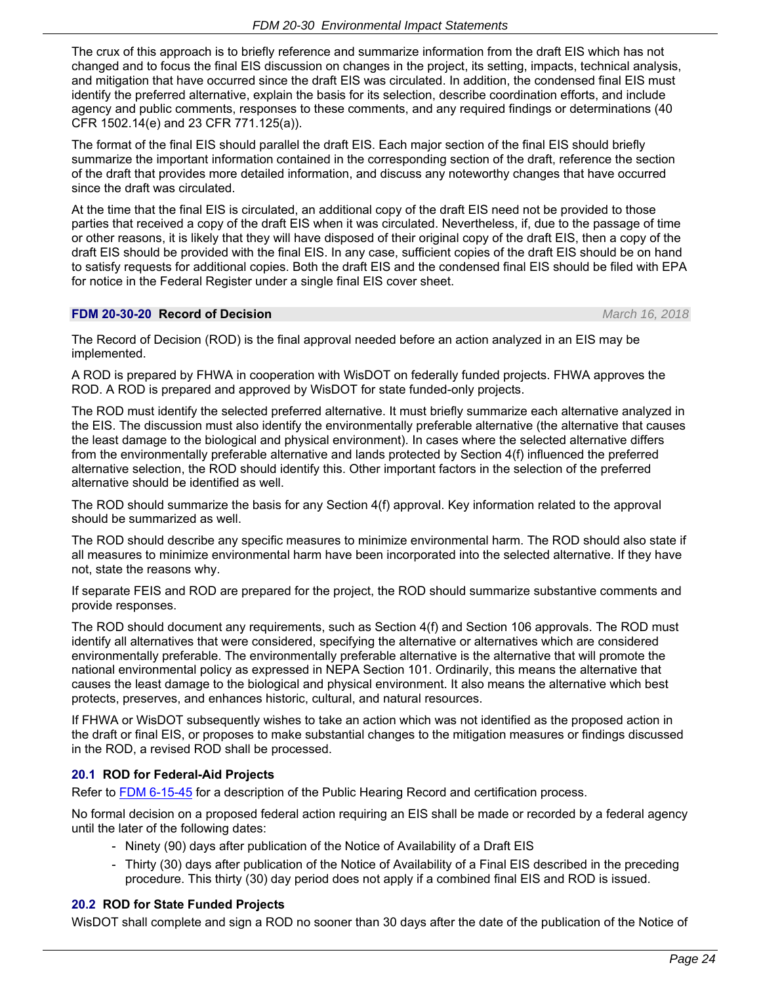The crux of this approach is to briefly reference and summarize information from the draft EIS which has not changed and to focus the final EIS discussion on changes in the project, its setting, impacts, technical analysis, and mitigation that have occurred since the draft EIS was circulated. In addition, the condensed final EIS must identify the preferred alternative, explain the basis for its selection, describe coordination efforts, and include agency and public comments, responses to these comments, and any required findings or determinations (40 CFR 1502.14(e) and 23 CFR 771.125(a)).

The format of the final EIS should parallel the draft EIS. Each major section of the final EIS should briefly summarize the important information contained in the corresponding section of the draft, reference the section of the draft that provides more detailed information, and discuss any noteworthy changes that have occurred since the draft was circulated.

At the time that the final EIS is circulated, an additional copy of the draft EIS need not be provided to those parties that received a copy of the draft EIS when it was circulated. Nevertheless, if, due to the passage of time or other reasons, it is likely that they will have disposed of their original copy of the draft EIS, then a copy of the draft EIS should be provided with the final EIS. In any case, sufficient copies of the draft EIS should be on hand to satisfy requests for additional copies. Both the draft EIS and the condensed final EIS should be filed with EPA for notice in the Federal Register under a single final EIS cover sheet.

### **FDM 20-30-20 Record of Decision** *March 16, 2018*

The Record of Decision (ROD) is the final approval needed before an action analyzed in an EIS may be implemented.

A ROD is prepared by FHWA in cooperation with WisDOT on federally funded projects. FHWA approves the ROD. A ROD is prepared and approved by WisDOT for state funded-only projects.

The ROD must identify the selected preferred alternative. It must briefly summarize each alternative analyzed in the EIS. The discussion must also identify the environmentally preferable alternative (the alternative that causes the least damage to the biological and physical environment). In cases where the selected alternative differs from the environmentally preferable alternative and lands protected by Section 4(f) influenced the preferred alternative selection, the ROD should identify this. Other important factors in the selection of the preferred alternative should be identified as well.

The ROD should summarize the basis for any Section 4(f) approval. Key information related to the approval should be summarized as well.

The ROD should describe any specific measures to minimize environmental harm. The ROD should also state if all measures to minimize environmental harm have been incorporated into the selected alternative. If they have not, state the reasons why.

If separate FEIS and ROD are prepared for the project, the ROD should summarize substantive comments and provide responses.

The ROD should document any requirements, such as Section 4(f) and Section 106 approvals. The ROD must identify all alternatives that were considered, specifying the alternative or alternatives which are considered environmentally preferable. The environmentally preferable alternative is the alternative that will promote the national environmental policy as expressed in NEPA Section 101. Ordinarily, this means the alternative that causes the least damage to the biological and physical environment. It also means the alternative which best protects, preserves, and enhances historic, cultural, and natural resources.

If FHWA or WisDOT subsequently wishes to take an action which was not identified as the proposed action in the draft or final EIS, or proposes to make substantial changes to the mitigation measures or findings discussed in the ROD, a revised ROD shall be processed.

## **20.1 ROD for Federal-Aid Projects**

Refer to FDM [6-15-45](https://wisconsindot.gov/rdwy/fdm/fd-06-15.pdf#fd6-15-45) for a description of the Public Hearing Record and certification process.

No formal decision on a proposed federal action requiring an EIS shall be made or recorded by a federal agency until the later of the following dates:

- Ninety (90) days after publication of the Notice of Availability of a Draft EIS
- Thirty (30) days after publication of the Notice of Availability of a Final EIS described in the preceding procedure. This thirty (30) day period does not apply if a combined final EIS and ROD is issued.

## **20.2 ROD for State Funded Projects**

WisDOT shall complete and sign a ROD no sooner than 30 days after the date of the publication of the Notice of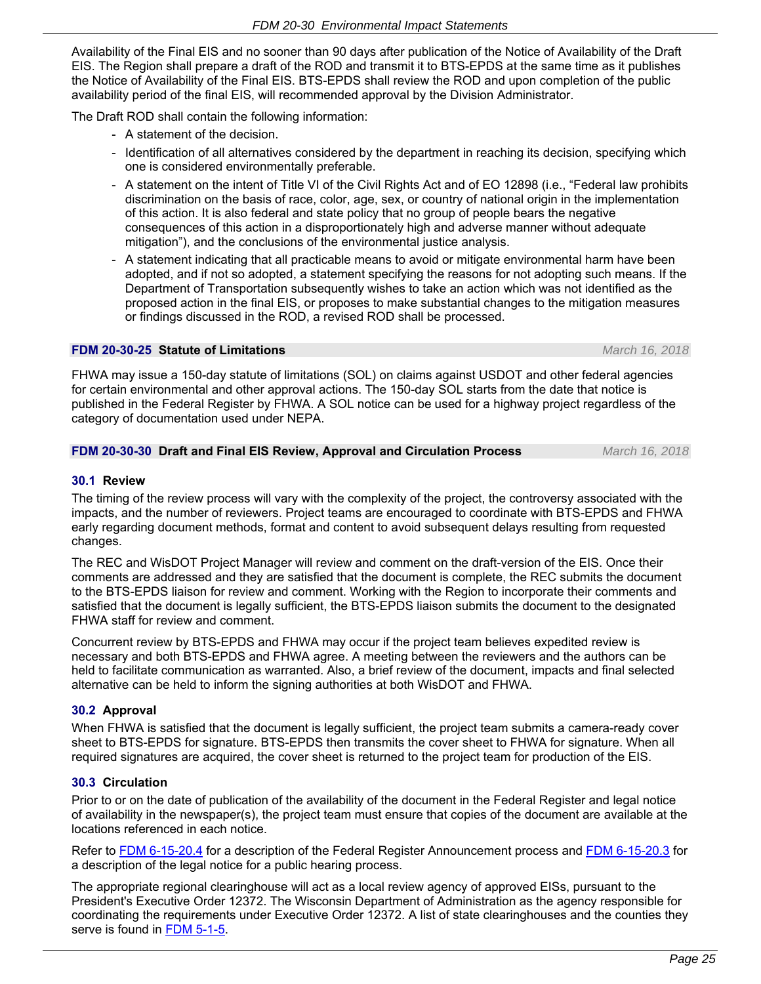Availability of the Final EIS and no sooner than 90 days after publication of the Notice of Availability of the Draft EIS. The Region shall prepare a draft of the ROD and transmit it to BTS-EPDS at the same time as it publishes the Notice of Availability of the Final EIS. BTS-EPDS shall review the ROD and upon completion of the public availability period of the final EIS, will recommended approval by the Division Administrator.

The Draft ROD shall contain the following information:

- A statement of the decision.
- Identification of all alternatives considered by the department in reaching its decision, specifying which one is considered environmentally preferable.
- A statement on the intent of Title VI of the Civil Rights Act and of EO 12898 (i.e., "Federal law prohibits discrimination on the basis of race, color, age, sex, or country of national origin in the implementation of this action. It is also federal and state policy that no group of people bears the negative consequences of this action in a disproportionately high and adverse manner without adequate mitigation"), and the conclusions of the environmental justice analysis.
- A statement indicating that all practicable means to avoid or mitigate environmental harm have been adopted, and if not so adopted, a statement specifying the reasons for not adopting such means. If the Department of Transportation subsequently wishes to take an action which was not identified as the proposed action in the final EIS, or proposes to make substantial changes to the mitigation measures or findings discussed in the ROD, a revised ROD shall be processed.

## **FDM 20-30-25 Statute of Limitations** *March 16, 2018*

FHWA may issue a 150-day statute of limitations (SOL) on claims against USDOT and other federal agencies for certain environmental and other approval actions. The 150-day SOL starts from the date that notice is published in the Federal Register by FHWA. A SOL notice can be used for a highway project regardless of the category of documentation used under NEPA.

## **FDM 20-30-30 Draft and Final EIS Review, Approval and Circulation Process** *March 16, 2018*

# **30.1 Review**

The timing of the review process will vary with the complexity of the project, the controversy associated with the impacts, and the number of reviewers. Project teams are encouraged to coordinate with BTS-EPDS and FHWA early regarding document methods, format and content to avoid subsequent delays resulting from requested changes.

The REC and WisDOT Project Manager will review and comment on the draft-version of the EIS. Once their comments are addressed and they are satisfied that the document is complete, the REC submits the document to the BTS-EPDS liaison for review and comment. Working with the Region to incorporate their comments and satisfied that the document is legally sufficient, the BTS-EPDS liaison submits the document to the designated FHWA staff for review and comment.

Concurrent review by BTS-EPDS and FHWA may occur if the project team believes expedited review is necessary and both BTS-EPDS and FHWA agree. A meeting between the reviewers and the authors can be held to facilitate communication as warranted. Also, a brief review of the document, impacts and final selected alternative can be held to inform the signing authorities at both WisDOT and FHWA.

# **30.2 Approval**

When FHWA is satisfied that the document is legally sufficient, the project team submits a camera-ready cover sheet to BTS-EPDS for signature. BTS-EPDS then transmits the cover sheet to FHWA for signature. When all required signatures are acquired, the cover sheet is returned to the project team for production of the EIS.

# **30.3 Circulation**

Prior to or on the date of publication of the availability of the document in the Federal Register and legal notice of availability in the newspaper(s), the project team must ensure that copies of the document are available at the locations referenced in each notice.

Refer to [FDM 6-15-20.4](https://wisconsindot.gov/rdwy/fdm/fd-06-15.pdf#fd6-15-20.4) for a description of the Federal Register Announcement process and [FDM 6-15-20.3](https://wisconsindot.gov/rdwy/fdm/fd-06-15.pdf#fd6-15-20.3) for a description of the legal notice for a public hearing process.

The appropriate regional clearinghouse will act as a local review agency of approved EISs, pursuant to the President's Executive Order 12372. The Wisconsin Department of Administration as the agency responsible for coordinating the requirements under Executive Order 12372. A list of state clearinghouses and the counties they serve is found in [FDM 5-1-5](https://wisconsindot.gov/rdwy/fdm/fd-05-01.pdf#fd5-1-5).